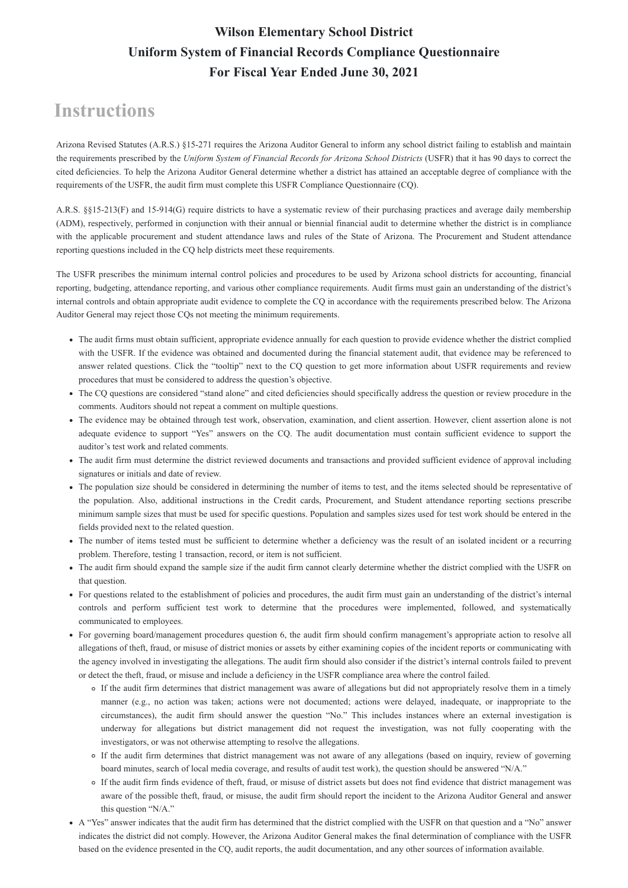#### **Instructions**

Arizona Revised Statutes (A.R.S.) §15-271 requires the Arizona Auditor General to inform any school district failing to establish and maintain the requirements prescribed by the *Uniform System of Financial Records for Arizona School Districts* (USFR) that it has 90 days to correct the cited deficiencies. To help the Arizona Auditor General determine whether a district has attained an acceptable degree of compliance with the requirements of the USFR, the audit firm must complete this USFR Compliance Questionnaire (CQ).

A.R.S. §§15-213(F) and 15-914(G) require districts to have a systematic review of their purchasing practices and average daily membership (ADM), respectively, performed in conjunction with their annual or biennial financial audit to determine whether the district is in compliance with the applicable procurement and student attendance laws and rules of the State of Arizona. The Procurement and Student attendance reporting questions included in the CQ help districts meet these requirements.

The USFR prescribes the minimum internal control policies and procedures to be used by Arizona school districts for accounting, financial reporting, budgeting, attendance reporting, and various other compliance requirements. Audit firms must gain an understanding of the district's internal controls and obtain appropriate audit evidence to complete the CQ in accordance with the requirements prescribed below. The Arizona Auditor General may reject those CQs not meeting the minimum requirements.

- The audit firms must obtain sufficient, appropriate evidence annually for each question to provide evidence whether the district complied with the USFR. If the evidence was obtained and documented during the financial statement audit, that evidence may be referenced to answer related questions. Click the "tooltip" next to the CQ question to get more information about USFR requirements and review procedures that must be considered to address the question's objective.
- The CQ questions are considered "stand alone" and cited deficiencies should specifically address the question or review procedure in the comments. Auditors should not repeat a comment on multiple questions.
- The evidence may be obtained through test work, observation, examination, and client assertion. However, client assertion alone is not adequate evidence to support "Yes" answers on the CQ. The audit documentation must contain sufficient evidence to support the auditor's test work and related comments.
- The audit firm must determine the district reviewed documents and transactions and provided sufficient evidence of approval including signatures or initials and date of review.
- The population size should be considered in determining the number of items to test, and the items selected should be representative of the population. Also, additional instructions in the Credit cards, Procurement, and Student attendance reporting sections prescribe minimum sample sizes that must be used for specific questions. Population and samples sizes used for test work should be entered in the fields provided next to the related question.
- The number of items tested must be sufficient to determine whether a deficiency was the result of an isolated incident or a recurring problem. Therefore, testing 1 transaction, record, or item is not sufficient.
- The audit firm should expand the sample size if the audit firm cannot clearly determine whether the district complied with the USFR on that question.
- For questions related to the establishment of policies and procedures, the audit firm must gain an understanding of the district's internal controls and perform sufficient test work to determine that the procedures were implemented, followed, and systematically communicated to employees.
- For governing board/management procedures question 6, the audit firm should confirm management's appropriate action to resolve all allegations of theft, fraud, or misuse of district monies or assets by either examining copies of the incident reports or communicating with the agency involved in investigating the allegations. The audit firm should also consider if the district's internal controls failed to prevent

or detect the theft, fraud, or misuse and include a deficiency in the USFR compliance area where the control failed.

- If the audit firm determines that district management was aware of allegations but did not appropriately resolve them in a timely manner (e.g., no action was taken; actions were not documented; actions were delayed, inadequate, or inappropriate to the circumstances), the audit firm should answer the question "No." This includes instances where an external investigation is underway for allegations but district management did not request the investigation, was not fully cooperating with the investigators, or was not otherwise attempting to resolve the allegations.
- If the audit firm determines that district management was not aware of any allegations (based on inquiry, review of governing board minutes, search of local media coverage, and results of audit test work), the question should be answered "N/A."
- If the audit firm finds evidence of theft, fraud, or misuse of district assets but does not find evidence that district management was aware of the possible theft, fraud, or misuse, the audit firm should report the incident to the Arizona Auditor General and answer this question "N/A."
- A "Yes" answer indicates that the audit firm has determined that the district complied with the USFR on that question and a "No" answer indicates the district did not comply. However, the Arizona Auditor General makes the final determination of compliance with the USFR based on the evidence presented in the CQ, audit reports, the audit documentation, and any other sources of information available.

#### **Wilson Elementary School District Uniform System of Financial Records Compliance Questionnaire For Fiscal Year Ended June 30, 2021**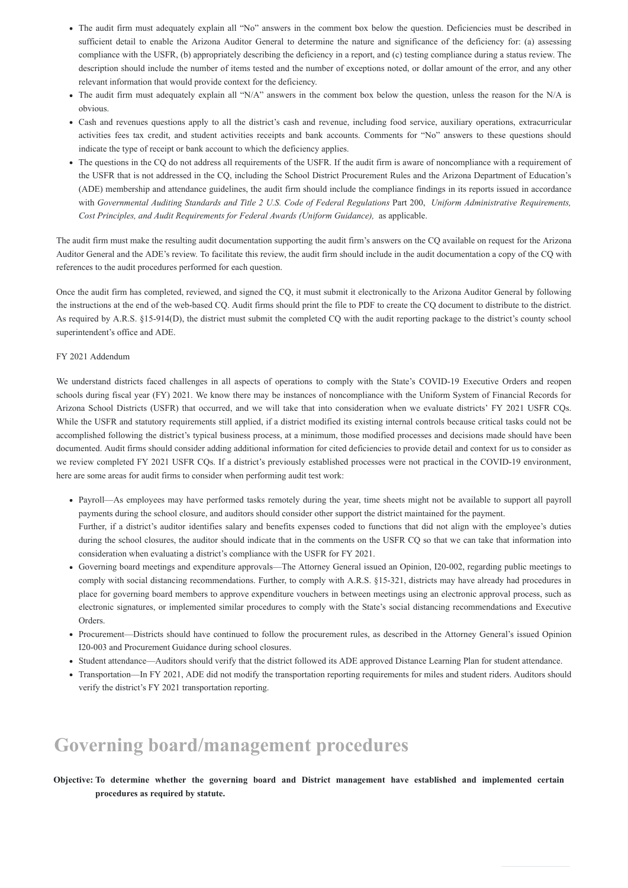- The audit firm must adequately explain all "No" answers in the comment box below the question. Deficiencies must be described in sufficient detail to enable the Arizona Auditor General to determine the nature and significance of the deficiency for: (a) assessing compliance with the USFR, (b) appropriately describing the deficiency in a report, and (c) testing compliance during a status review. The description should include the number of items tested and the number of exceptions noted, or dollar amount of the error, and any other relevant information that would provide context for the deficiency.
- The audit firm must adequately explain all "N/A" answers in the comment box below the question, unless the reason for the N/A is obvious.
- Cash and revenues questions apply to all the district's cash and revenue, including food service, auxiliary operations, extracurricular activities fees tax credit, and student activities receipts and bank accounts. Comments for "No" answers to these questions should indicate the type of receipt or bank account to which the deficiency applies.
- The questions in the CQ do not address all requirements of the USFR. If the audit firm is aware of noncompliance with a requirement of the USFR that is not addressed in the CQ, including the School District Procurement Rules and the Arizona Department of Education's (ADE) membership and attendance guidelines, the audit firm should include the compliance findings in its reports issued in accordance with *Governmental Auditing Standards and Title 2 U.S. Code of Federal Regulations Part 200, Uniform Administrative Requirements, Cost Principles, and Audit Requirements for Federal Awards (Uniform Guidance),* as applicable.

The audit firm must make the resulting audit documentation supporting the audit firm's answers on the CQ available on request for the Arizona Auditor General and the ADE's review. To facilitate this review, the audit firm should include in the audit documentation a copy of the CQ with references to the audit procedures performed for each question.

Once the audit firm has completed, reviewed, and signed the CQ, it must submit it electronically to the Arizona Auditor General by following the instructions at the end of the web-based CQ. Audit firms should print the file to PDF to create the CQ document to distribute to the district. As required by A.R.S. §15-914(D), the district must submit the completed CQ with the audit reporting package to the district's county school superintendent's office and ADE.

#### FY 2021 Addendum

We understand districts faced challenges in all aspects of operations to comply with the State's COVID-19 Executive Orders and reopen schools during fiscal year (FY) 2021. We know there may be instances of noncompliance with the Uniform System of Financial Records for Arizona School Districts (USFR) that occurred, and we will take that into consideration when we evaluate districts' FY 2021 USFR CQs. While the USFR and statutory requirements still applied, if a district modified its existing internal controls because critical tasks could not be accomplished following the district's typical business process, at a minimum, those modified processes and decisions made should have been documented. Audit firms should consider adding additional information for cited deficiencies to provide detail and context for us to consider as we review completed FY 2021 USFR CQs. If a district's previously established processes were not practical in the COVID-19 environment, here are some areas for audit firms to consider when performing audit test work:

- Payroll—As employees may have performed tasks remotely during the year, time sheets might not be available to support all payroll payments during the school closure, and auditors should consider other support the district maintained for the payment. Further, if a district's auditor identifies salary and benefits expenses coded to functions that did not align with the employee's duties during the school closures, the auditor should indicate that in the comments on the USFR CQ so that we can take that information into consideration when evaluating a district's compliance with the USFR for FY 2021.
- Governing board meetings and expenditure approvals—The Attorney General issued an Opinion, I20-002, regarding public meetings to comply with social distancing recommendations. Further, to comply with A.R.S. §15-321, districts may have already had procedures in place for governing board members to approve expenditure vouchers in between meetings using an electronic approval process, such as electronic signatures, or implemented similar procedures to comply with the State's social distancing recommendations and Executive Orders.
- Procurement—Districts should have continued to follow the procurement rules, as described in the Attorney General's issued Opinion I20-003 and Procurement Guidance during school closures.
- Student attendance—Auditors should verify that the district followed its ADE approved Distance Learning Plan for student attendance.
- Transportation—In FY 2021, ADE did not modify the transportation reporting requirements for miles and student riders. Auditors should verify the district's FY 2021 transportation reporting.

### **Governing board/management procedures**

**Objective: To determine whether the governing board and District management have established and implemented certain procedures as required by statute.**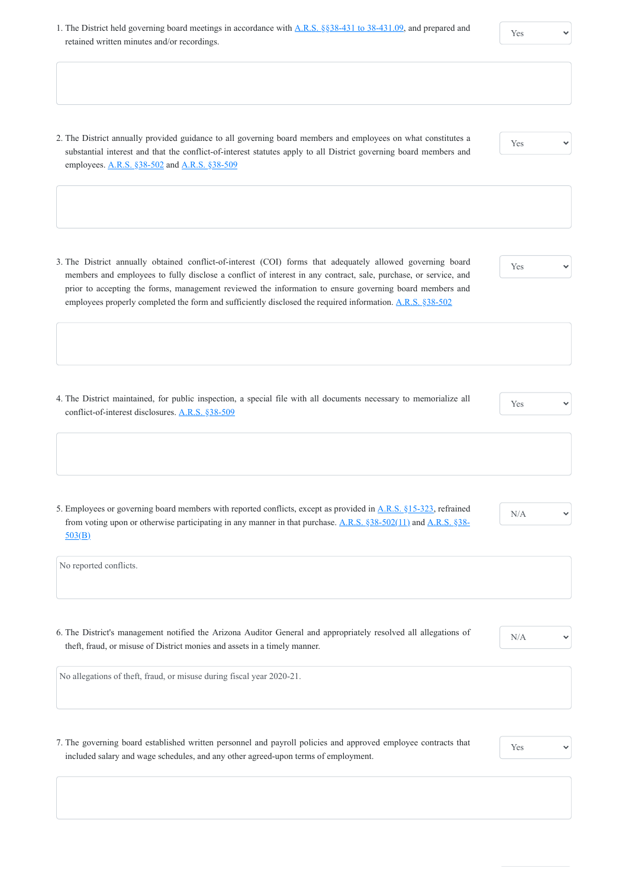- 1. The District held governing board meetings in accordance with **A.R.S.** §§38-431 to 38-431.09, and prepared and retained written minutes and/or recordings.
- Yes

- 2. The District annually provided guidance to all governing board members and employees on what constitutes a substantial interest and that the conflict-of-interest statutes apply to all District governing board members and employees. [A.R.S. §38-502](https://www.azleg.gov/viewdocument/?docName=https://www.azleg.gov/ars/38/00502.htm) and [A.R.S. §38-509](https://www.azleg.gov/viewdocument/?docName=https://www.azleg.gov/ars/38/00509.htm)
- Yes

- 5. Employees or governing board members with reported conflicts, except as provided in [A.R.S. §15-323](https://www.azleg.gov/viewdocument/?docName=https://www.azleg.gov/ars/15/00323.htm), refrained [from voting upon or otherwise participating in any manner in that purchase.](https://www.azleg.gov/viewdocument/?docName=https://www.azleg.gov/ars/38/00503.htm) [A.R.S. §38-502\(11\)](https://www.azleg.gov/viewdocument/?docName=https://www.azleg.gov/ars/38/00502.htm) and A.R.S. §38-503(B)
- N/A
- Yes
- 3. The District annually obtained conflict-of-interest (COI) forms that adequately allowed governing board members and employees to fully disclose a conflict of interest in any contract, sale, purchase, or service, and prior to accepting the forms, management reviewed the information to ensure governing board members and employees properly completed the form and sufficiently disclosed the required information. [A.R.S. §38-502](https://www.azleg.gov/viewdocument/?docName=https://www.azleg.gov/ars/38/00502.htm)
- 4. The District maintained, for public inspection, a special file with all documents necessary to memorialize all conflict-of-interest disclosures. [A.R.S. §38-509](https://www.azleg.gov/viewdocument/?docName=https://www.azleg.gov/ars/38/00509.htm)
- Yes

No reported conflicts.

6. The District's management notified the Arizona Auditor General and appropriately resolved all allegations of theft, fraud, or misuse of District monies and assets in a timely manner.

N/A

No allegations of theft, fraud, or misuse during fiscal year 2020-21.

7. The governing board established written personnel and payroll policies and approved employee contracts that included salary and wage schedules, and any other agreed-upon terms of employment.

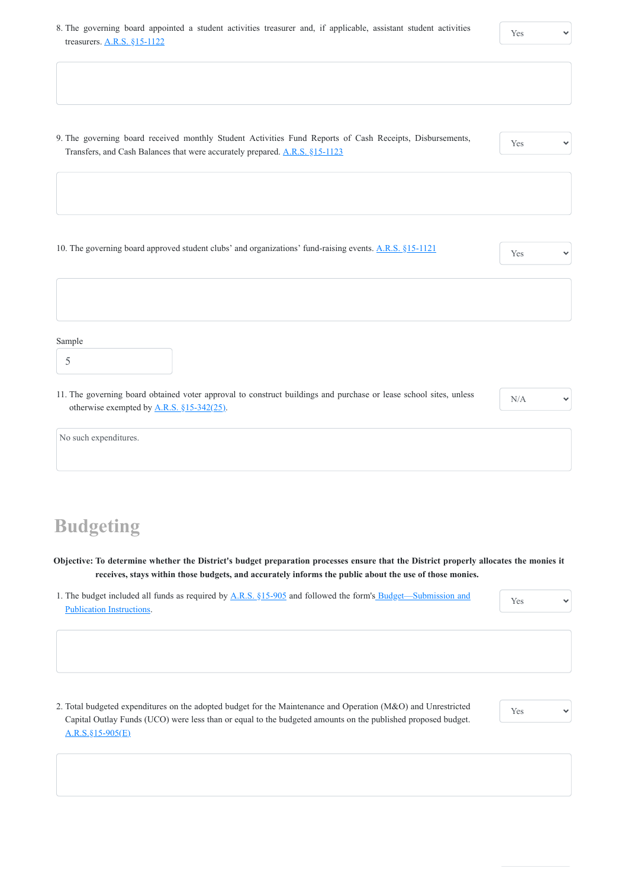11. The governing board obtained voter approval to construct buildings and purchase or lease school sites, unless otherwise exempted by  $A.R.S. \S15-342(25)$ .

9. The governing board received monthly Student Activities Fund Reports of Cash Receipts, Disbursements, Transfers, and Cash Balances that were accurately prepared. [A.R.S. §15-1123](https://www.azleg.gov/viewdocument/?docName=https%3A%2F%2Fwww.azleg.gov%2Fars%2F15%2F01123.htm)

Yes

10. The governing board approved student clubs' and organizations' fund-raising events. [A.R.S. §15-1121](https://www.azleg.gov/viewdocument/?docName=https://www.azleg.gov/ars/15/01121.htm) Yes

Sample

1. [The budget included all funds as required by A.R.S. §15-905](https://www.azauditor.gov/reports-publications/school-districts/forms) and followed the form's Budget—Submission and Publication Instructions.

N/A

 $\checkmark$ 

| No such expenditures. |  |
|-----------------------|--|
|                       |  |

### **Budgeting**

**Objective: To determine whether the District's budget preparation processes ensure that the District properly allocates the monies it receives, stays within those budgets, and accurately informs the public about the use of those monies.**

Yes

 $\checkmark$ 

2. Total budgeted expenditures on the adopted budget for the Maintenance and Operation (M&O) and Unrestricted Capital Outlay Funds (UCO) were less than or equal to the budgeted amounts on the published proposed budget. [A.R.S.§15-905\(E\)](https://www.azleg.gov/viewdocument/?docName=https%3A%2F%2Fwww.azleg.gov%2Fars%2F15%2F00905.htm)

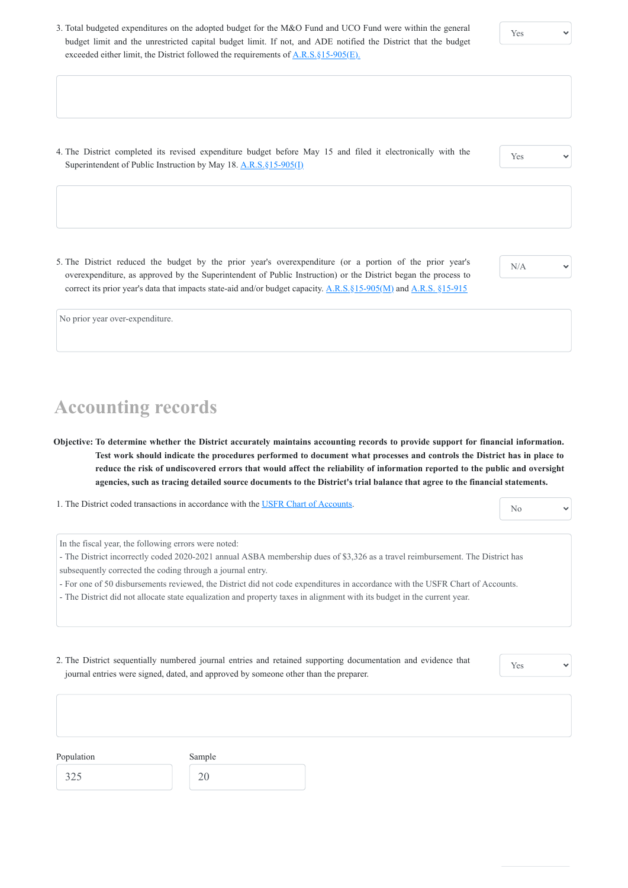exceeded either limit, the District followed the requirements of  $\underline{A.R.S.\S15-905(E)}$ .

3. Total budgeted expenditures on the adopted budget for the M&O Fund and UCO Fund were within the general budget limit and the unrestricted capital budget limit. If not, and ADE notified the District that the budget

- 4. The District completed its revised expenditure budget before May 15 and filed it electronically with the Superintendent of Public Instruction by May 18. A.R.S. §15-905(I)
- 5. The District reduced the budget by the prior year's overexpenditure (or a portion of the prior year's overexpenditure, as approved by the Superintendent of Public Instruction) or the District began the process to correct its prior year's data that impacts state-aid and/or budget capacity. A.R.S. §15-905(M) and [A.R.S. §15-915](https://www.azleg.gov/viewdocument/?docName=https%3A%2F%2Fwww.azleg.gov%2Fars%2F15%2F00915.htm)

Yes

Yes

N/A

 $\checkmark$ 

 $\checkmark$ 

No prior year over-expenditure.

# **Accounting records**

**Objective: To determine whether the District accurately maintains accounting records to provide support for financial information. Test work should indicate the procedures performed to document what processes and controls the District has in place to reduce the risk of undiscovered errors that would affect the reliability of information reported to the public and oversight agencies, such as tracing detailed source documents to the District's trial balance that agree to the financial statements.**

1. The District coded transactions in accordance with the [USFR Chart of Accounts.](https://www.azauditor.gov/sites/default/files/USFRCOA72320.pdf)

In the fiscal year, the following errors were noted:

- The District incorrectly coded 2020-2021 annual ASBA membership dues of \$3,326 as a travel reimbursement. The District has subsequently corrected the coding through a journal entry.
- For one of 50 disbursements reviewed, the District did not code expenditures in accordance with the USFR Chart of Accounts.

- The District did not allocate state equalization and property taxes in alignment with its budget in the current year.

journal entries were signed, dated, and approved by someone other than the preparer.

Yes

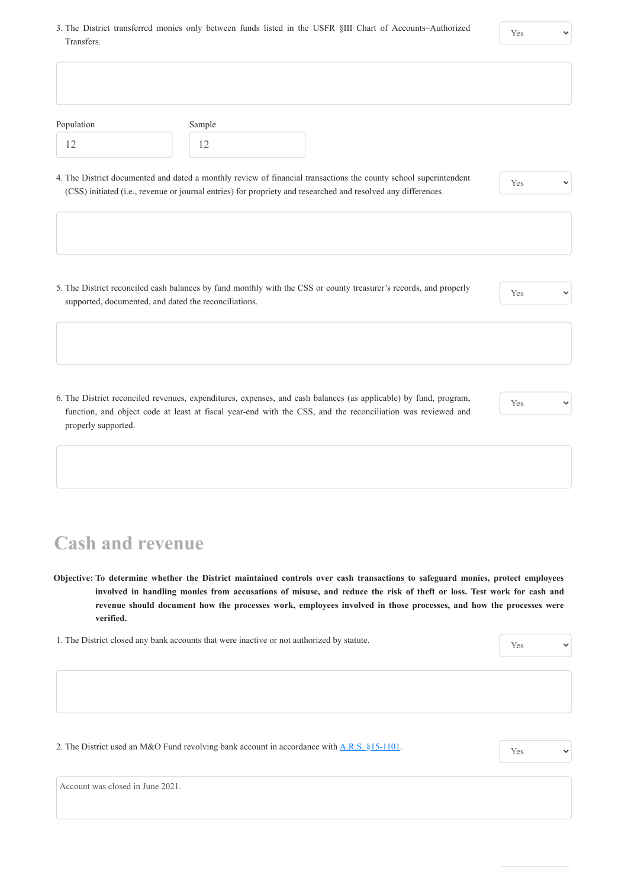3. The District transferred monies only between funds listed in the USFR §III Chart of Accounts–Authorized Transfers.

| Population | Sample                                                                                                                                                                                                                            |     |  |
|------------|-----------------------------------------------------------------------------------------------------------------------------------------------------------------------------------------------------------------------------------|-----|--|
| 12         | 12                                                                                                                                                                                                                                |     |  |
|            | 4. The District documented and dated a monthly review of financial transactions the county school superintendent<br>(CSS) initiated (i.e., revenue or journal entries) for propriety and researched and resolved any differences. | Yes |  |
|            |                                                                                                                                                                                                                                   |     |  |
|            | 5. The District reconciled cash balances by fund monthly with the CSS or county treasurer's records, and properly                                                                                                                 | Yes |  |
|            | supported, documented, and dated the reconciliations.                                                                                                                                                                             |     |  |

## **Cash and revenue**

**Objective: To determine whether the District maintained controls over cash transactions to safeguard monies, protect employees involved in handling monies from accusations of misuse, and reduce the risk of theft or loss. Test work for cash and revenue should document how the processes work, employees involved in those processes, and how the processes were verified.**

 $\checkmark$ 

2. The District used an M&O Fund revolving bank account in accordance with **A.R.S. §15-1101**. Yes



Account was closed in June 2021.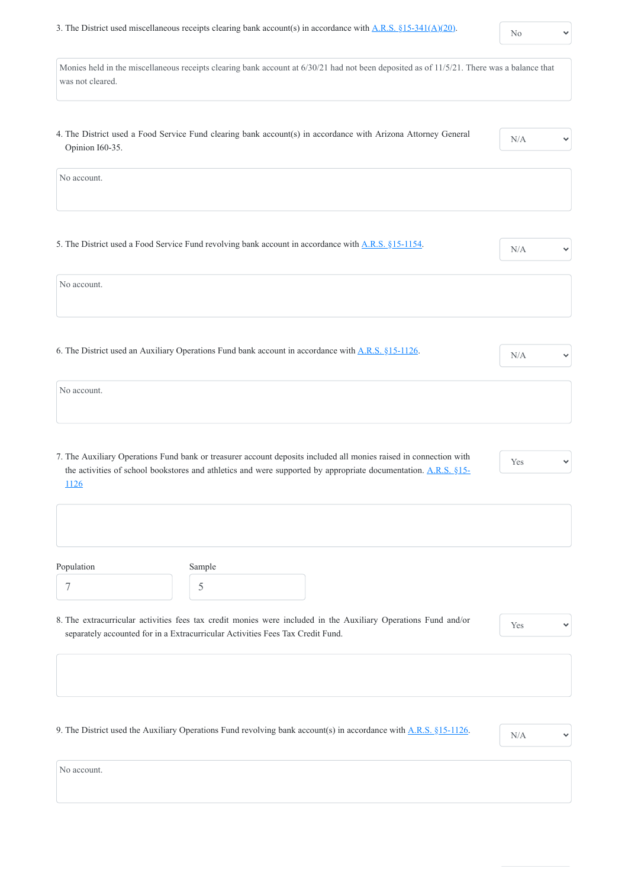$\checkmark$ 

| Monies held in the miscellaneous receipts clearing bank account at 6/30/21 had not been deposited as of 11/5/21. There was a balance that<br>was not cleared.                                                                                      |     |              |
|----------------------------------------------------------------------------------------------------------------------------------------------------------------------------------------------------------------------------------------------------|-----|--------------|
| 4. The District used a Food Service Fund clearing bank account(s) in accordance with Arizona Attorney General<br>Opinion I60-35.                                                                                                                   | N/A |              |
| No account.                                                                                                                                                                                                                                        |     |              |
| 5. The District used a Food Service Fund revolving bank account in accordance with A.R.S. §15-1154.                                                                                                                                                | N/A |              |
| No account.                                                                                                                                                                                                                                        |     |              |
| 6. The District used an Auxiliary Operations Fund bank account in accordance with A.R.S. §15-1126.                                                                                                                                                 | N/A | $\checkmark$ |
| No account.                                                                                                                                                                                                                                        |     |              |
| 7. The Auxiliary Operations Fund bank or treasurer account deposits included all monies raised in connection with<br>the activities of school bookstores and athletics and were supported by appropriate documentation. A.R.S. §15-<br><u>1126</u> | Yes | $\checkmark$ |
| Population<br>Sample                                                                                                                                                                                                                               |     |              |

7

5

8. The extracurricular activities fees tax credit monies were included in the Auxiliary Operations Fund and/or separately accounted for in a Extracurricular Activities Fees Tax Credit Fund.

Yes

 $\checkmark$ 

9. The District used the Auxiliary Operations Fund revolving bank account(s) in accordance with  $\underline{A.R.S. \S15-1126}$ .



No account.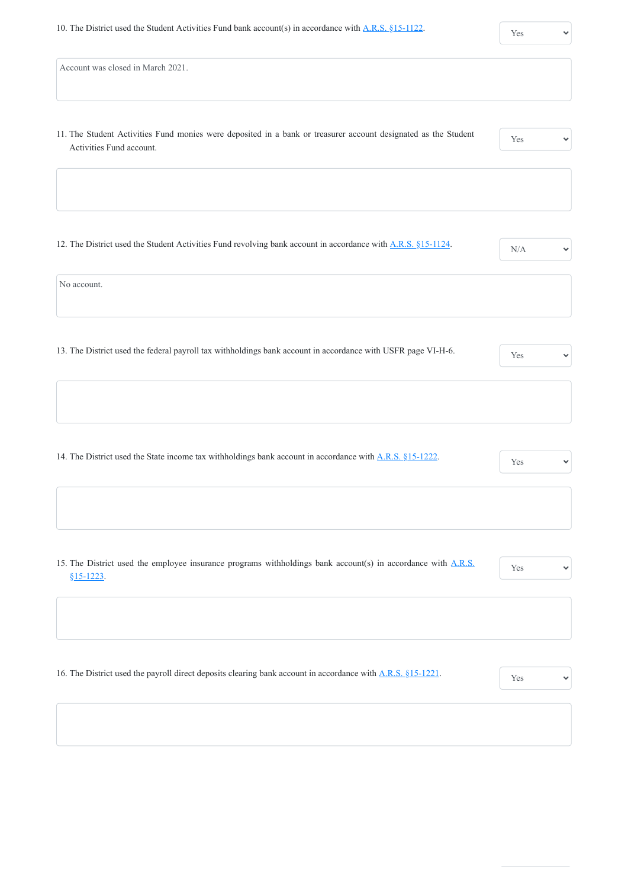| Account was closed in March 2021. |  |  |
|-----------------------------------|--|--|
|-----------------------------------|--|--|

11. The Student Activities Fund monies were deposited in a bank or treasurer account designated as the Student Activities Fund account.

| - |  |  |
|---|--|--|

 $\checkmark$ 

12. The District used the Student Activities Fund revolving bank account in accordance with [A.R.S. §15-1124.](https://www.azleg.gov/viewdocument/?docName=https://www.azleg.gov/ars/15/01124.htm)

No account.

13. The District used the federal payroll tax withholdings bank account in accordance with USFR page VI-H-6.

14. The District used the State income tax withholdings bank account in accordance with <u>[A.R.S. §15-1222](https://www.azleg.gov/viewdocument/?docName=https://www.azleg.gov/ars/15/01222.htm)</u>.

 $\checkmark$ 

15. [The District used the employee insurance programs withholdings bank account\(s\) in accordance with A.R.S.](https://www.azleg.gov/viewdocument/?docName=https%3A%2F%2Fwww.azleg.gov%2Fars%2F15%2F01223.htm) §15-1223.

Yes

16. The District used the payroll direct deposits clearing bank account in accordance with [A.R.S. §15-1221](https://www.azleg.gov/viewdocument/?docName=https%3A%2F%2Fwww.azleg.gov%2Fars%2F15%2F01221.htm).

| Yes |  |
|-----|--|
|     |  |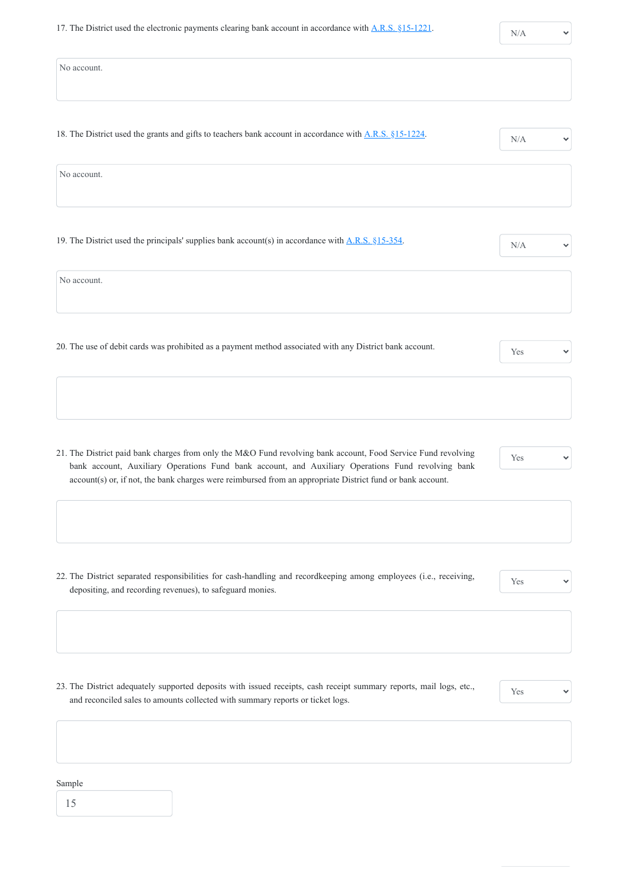$\checkmark$ 

| No account.                                                                                                                                                                                                         |     |
|---------------------------------------------------------------------------------------------------------------------------------------------------------------------------------------------------------------------|-----|
|                                                                                                                                                                                                                     |     |
| 18. The District used the grants and gifts to teachers bank account in accordance with A.R.S. §15-1224.                                                                                                             | N/A |
| No account.                                                                                                                                                                                                         |     |
|                                                                                                                                                                                                                     |     |
| 19. The District used the principals' supplies bank account(s) in accordance with $A.R.S. §15-354$ .                                                                                                                | N/A |
| No account.                                                                                                                                                                                                         |     |
| 20. The use of debit cards was prohibited as a payment method associated with any District bank account.                                                                                                            | Yes |
|                                                                                                                                                                                                                     |     |
|                                                                                                                                                                                                                     |     |
| 21. The District paid bank charges from only the M&O Fund revolving bank account, Food Service Fund revolving<br>bank account, Auxiliary Operations Fund bank account, and Auxiliary Operations Fund revolving bank | Yes |
| account(s) or, if not, the bank charges were reimbursed from an appropriate District fund or bank account.                                                                                                          |     |
|                                                                                                                                                                                                                     |     |

22. The District separated responsibilities for cash-handling and recordkeeping among employees (i.e., receiving, depositing, and recording revenues), to safeguard monies.

Yes

 $\checkmark$ 

23. The District adequately supported deposits with issued receipts, cash receipt summary reports, mail logs, etc., and reconciled sales to amounts collected with summary reports or ticket logs.



#### Sample

15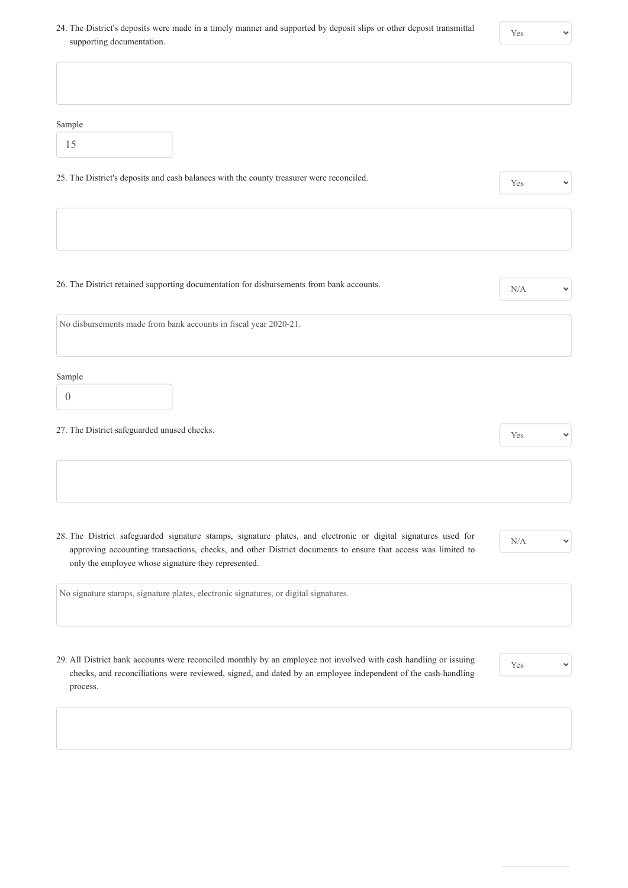24. The District's deposits were made in a timely manner and supported by deposit slips or other deposit transmittal supporting documentation.

 $\checkmark$ 

| Sample                                                                                                                                                                                                                                                                                |     |  |
|---------------------------------------------------------------------------------------------------------------------------------------------------------------------------------------------------------------------------------------------------------------------------------------|-----|--|
| 15                                                                                                                                                                                                                                                                                    |     |  |
| 25. The District's deposits and cash balances with the county treasurer were reconciled.                                                                                                                                                                                              | Yes |  |
|                                                                                                                                                                                                                                                                                       |     |  |
|                                                                                                                                                                                                                                                                                       |     |  |
| 26. The District retained supporting documentation for disbursements from bank accounts.                                                                                                                                                                                              | N/A |  |
| No disbursements made from bank accounts in fiscal year 2020-21.                                                                                                                                                                                                                      |     |  |
| Sample                                                                                                                                                                                                                                                                                |     |  |
| $\theta$                                                                                                                                                                                                                                                                              |     |  |
| 27. The District safeguarded unused checks.                                                                                                                                                                                                                                           | Yes |  |
|                                                                                                                                                                                                                                                                                       |     |  |
|                                                                                                                                                                                                                                                                                       |     |  |
| 28. The District safeguarded signature stamps, signature plates, and electronic or digital signatures used for<br>approving accounting transactions, checks, and other District documents to ensure that access was limited to<br>only the employee whose signature they represented. | N/A |  |
| No signature stamps, signature plates, electronic signatures, or digital signatures.                                                                                                                                                                                                  |     |  |

29. All District bank accounts were reconciled monthly by an employee not involved with cash handling or issuing checks, and reconciliations were reviewed, signed, and dated by an employee independent of the cash-handling

process.

 $\checkmark$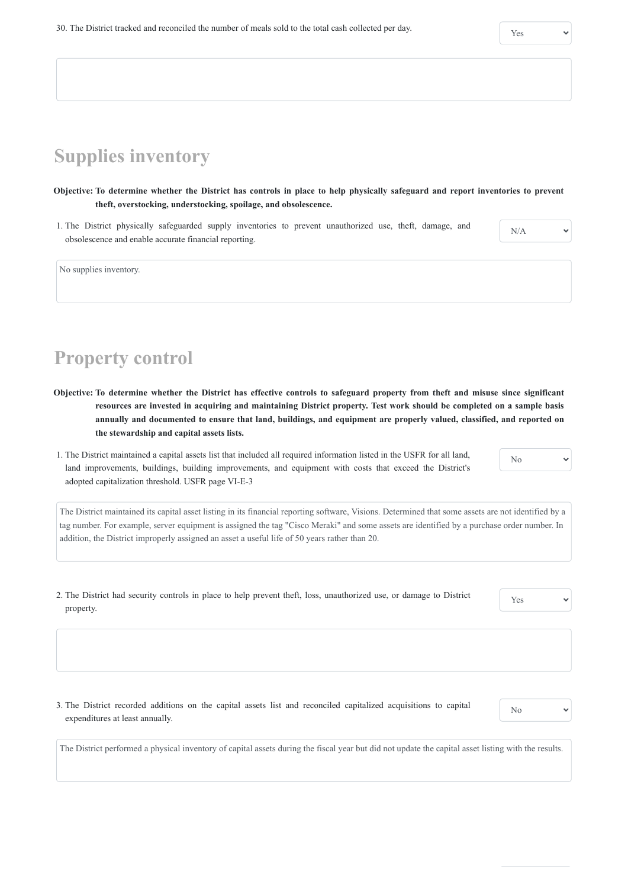# **Supplies inventory**

**Objective: To determine whether the District has controls in place to help physically safeguard and report inventories to prevent theft, overstocking, understocking, spoilage, and obsolescence.**

1. The District physically safeguarded supply inventories to prevent unauthorized use, theft, damage, and obsolescence and enable accurate financial reporting.

N/A

No supplies inventory.

### **Property control**

- **Objective: To determine whether the District has effective controls to safeguard property from theft and misuse since significant resources are invested in acquiring and maintaining District property. Test work should be completed on a sample basis annually and documented to ensure that land, buildings, and equipment are properly valued, classified, and reported on the stewardship and capital assets lists.**
- 1. The District maintained a capital assets list that included all required information listed in the USFR for all land, land improvements, buildings, building improvements, and equipment with costs that exceed the District's adopted capitalization threshold. USFR page VI-E-3

No

The District maintained its capital asset listing in its financial reporting software, Visions. Determined that some assets are not identified by a tag number. For example, server equipment is assigned the tag "Cisco Meraki" and some assets are identified by a purchase order number. In addition, the District improperly assigned an asset a useful life of 50 years rather than 20.

2. The District had security controls in place to help prevent theft, loss, unauthorized use, or damage to District property.

Yes

 $\checkmark$ 

3. The District recorded additions on the capital assets list and reconciled capitalized acquisitions to capital expenditures at least annually.



The District performed a physical inventory of capital assets during the fiscal year but did not update the capital asset listing with the results.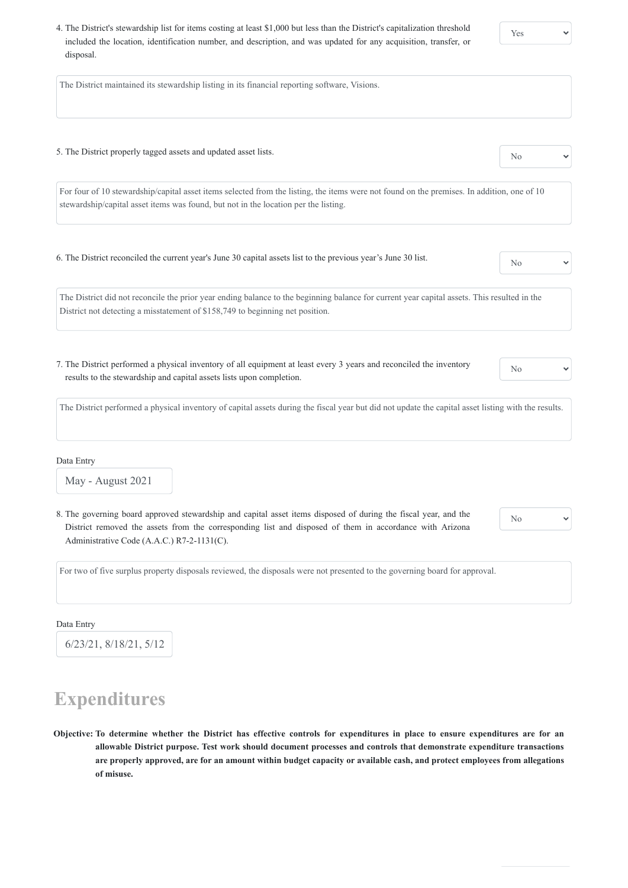4. The District's stewardship list for items costing at least \$1,000 but less than the District's capitalization threshold included the location, identification number, and description, and was updated for any acquisition, transfer, or disposal.

 $\checkmark$ 

The District maintained its stewardship listing in its financial reporting software, Visions.

5. The District properly tagged assets and updated asset lists. No

For four of 10 stewardship/capital asset items selected from the listing, the items were not found on the premises. In addition, one of 10 stewardship/capital asset items was found, but not in the location per the listing.

6. The District reconciled the current year's June 30 capital assets list to the previous year's June 30 list.

The District did not reconcile the prior year ending balance to the beginning balance for current year capital assets. This resulted in the District not detecting a misstatement of \$158,749 to beginning net position.

7. The District performed a physical inventory of all equipment at least every 3 years and reconciled the inventory results to the stewardship and capital assets lists upon completion.

No

The District performed a physical inventory of capital assets during the fiscal year but did not update the capital asset listing with the results.

Data Entry

May - August 2021

8. The governing board approved stewardship and capital asset items disposed of during the fiscal year, and the District removed the assets from the corresponding list and disposed of them in accordance with Arizona Administrative Code (A.A.C.) R7-2-1131(C).

No

 $\checkmark$ 

For two of five surplus property disposals reviewed, the disposals were not presented to the governing board for approval.

#### Data Entry

6/23/21, 8/18/21, 5/12

### **Expenditures**

**Objective: To determine whether the District has effective controls for expenditures in place to ensure expenditures are for an allowable District purpose. Test work should document processes and controls that demonstrate expenditure transactions are properly approved, are for an amount within budget capacity or available cash, and protect employees from allegations of misuse.**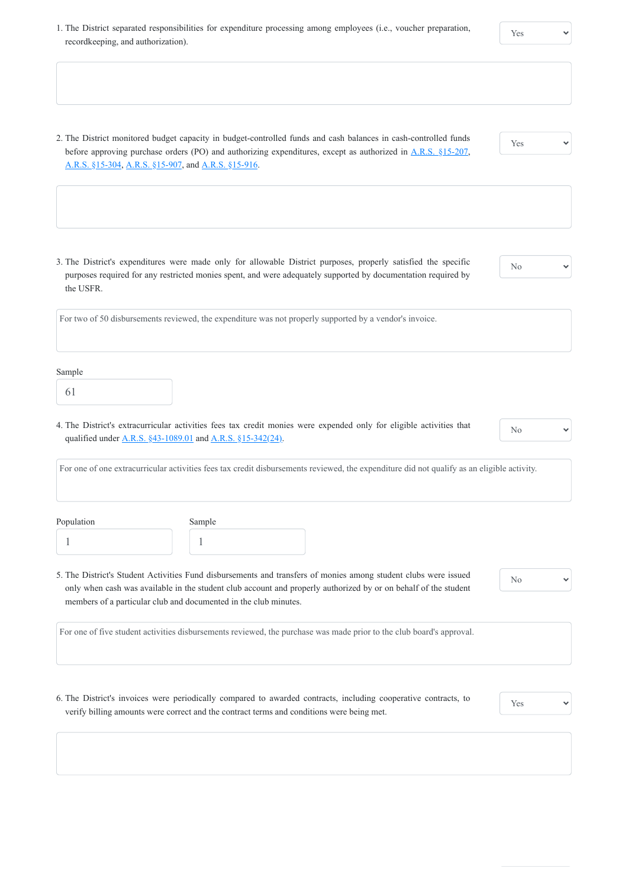1. The District separated responsibilities for expenditure processing among employees (i.e., voucher preparation, recordkeeping, and authorization).

2. The District monitored budget capacity in budget-controlled funds and cash balances in cash-controlled funds before approving purchase orders (PO) and authorizing expenditures, except as authorized in [A.R.S. §15-207,](https://www.azleg.gov/viewdocument/?docName=https://www.azleg.gov/ars/15/00207.htm) [A.R.S. §15-304,](https://www.azleg.gov/viewdocument/?docName=https://www.azleg.gov/ars/15/00304.htm) [A.R.S. §15-907](https://www.azleg.gov/viewdocument/?docName=https%3A%2F%2Fwww.azleg.gov%2Fars%2F15%2F00907.htm), and [A.R.S. §15-916](https://www.azleg.gov/viewdocument/?docName=https://www.azleg.gov/ars/15/00916.htm).

4. The District's extracurricular activities fees tax credit monies were expended only for eligible activities that qualified under <u>A.R.S. §43-1089.01</u> and <u>A.R.S. §15-342(24)</u>.

3. The District's expenditures were made only for allowable District purposes, properly satisfied the specific purposes required for any restricted monies spent, and were adequately supported by documentation required by the USFR.

| ٩ |
|---|
|   |

| For two of 50 disbursements reviewed, the expenditure was not properly supported by a vendor's invoice. |  |  |
|---------------------------------------------------------------------------------------------------------|--|--|
|                                                                                                         |  |  |

#### Sample

| v<br>v           | ٧ |  |
|------------------|---|--|
| ×<br>I<br>-<br>× |   |  |

No

For one of one extracurricular activities fees tax credit disbursements reviewed, the expenditure did not qualify as an eligible activity.

| Population | Sample |
|------------|--------|
|            |        |

5. The District's Student Activities Fund disbursements and transfers of monies among student clubs were issued only when cash was available in the student club account and properly authorized by or on behalf of the student members of a particular club and documented in the club minutes.

No

 $\checkmark$ 

For one of five student activities disbursements reviewed, the purchase was made prior to the club board's approval.

6. The District's invoices were periodically compared to awarded contracts, including cooperative contracts, to verify billing amounts were correct and the contract terms and conditions were being met.

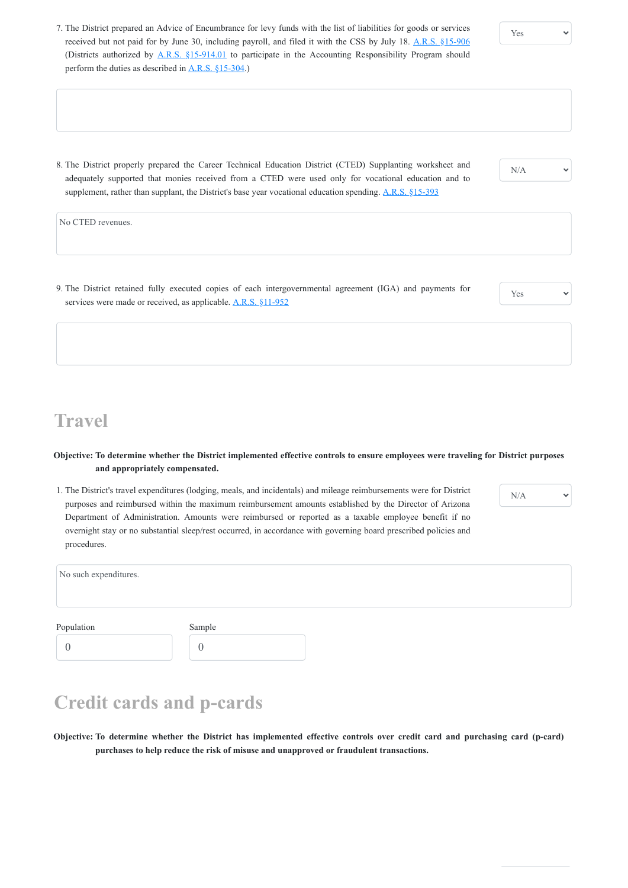9. The District retained fully executed copies of each intergovernmental agreement (IGA) and payments for services were made or received, as applicable. [A.R.S. §11-952](https://www.azleg.gov/viewdocument/?docName=https://www.azleg.gov/ars/11/00952.htm)

N/A

- 7. The District prepared an Advice of Encumbrance for levy funds with the list of liabilities for goods or services received but not paid for by June 30, including payroll, and filed it with the CSS by July 18. [A.R.S. §15-906](https://www.azleg.gov/viewdocument/?docName=https://www.azleg.gov/ars/15/00906.htm) (Districts authorized by [A.R.S. §15-914.01](https://www.azleg.gov/viewdocument/?docName=https://www.azleg.gov/ars/15/00914-01.htm) to participate in the Accounting Responsibility Program should perform the duties as described in  $A.R.S. \S15-304$ .
- 8. The District properly prepared the Career Technical Education District (CTED) Supplanting worksheet and adequately supported that monies received from a CTED were used only for vocational education and to supplement, rather than supplant, the District's base year vocational education spending. [A.R.S. §15-393](https://www.azleg.gov/viewdocument/?docName=https://www.azleg.gov/ars/15/00393.htm)

No CTED revenues.

Yes

**Travel**

#### **Objective: To determine whether the District implemented effective controls to ensure employees were traveling for District purposes and appropriately compensated.**

1. The District's travel expenditures (lodging, meals, and incidentals) and mileage reimbursements were for District purposes and reimbursed within the maximum reimbursement amounts established by the Director of Arizona Department of Administration. Amounts were reimbursed or reported as a taxable employee benefit if no overnight stay or no substantial sleep/rest occurred, in accordance with governing board prescribed policies and procedures.

| procedures.           |  |  |  |
|-----------------------|--|--|--|
| No such expenditures. |  |  |  |
|                       |  |  |  |
|                       |  |  |  |

N/A

Population

0

0

#### **Credit cards and p-cards**

**Objective: To determine whether the District has implemented effective controls over credit card and purchasing card (p-card) purchases to help reduce the risk of misuse and unapproved or fraudulent transactions.**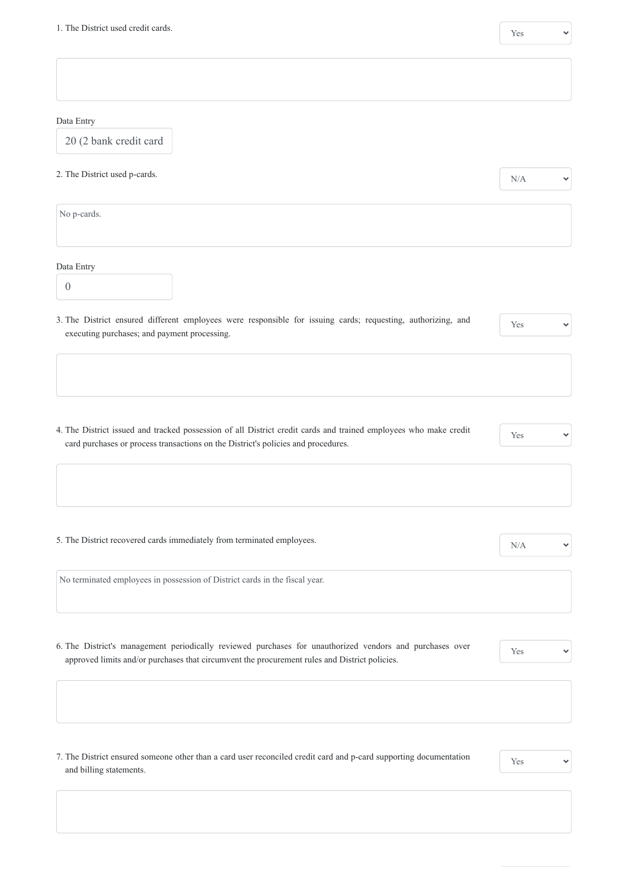$\checkmark$ 

| Data Entry                                                                                                                                                                                            |                     |
|-------------------------------------------------------------------------------------------------------------------------------------------------------------------------------------------------------|---------------------|
| 20 (2 bank credit card                                                                                                                                                                                |                     |
| 2. The District used p-cards.                                                                                                                                                                         | N/A<br>$\checkmark$ |
| No p-cards.                                                                                                                                                                                           |                     |
| Data Entry                                                                                                                                                                                            |                     |
| $\overline{0}$                                                                                                                                                                                        |                     |
| 3. The District ensured different employees were responsible for issuing cards; requesting, authorizing, and<br>executing purchases; and payment processing.                                          | Yes                 |
|                                                                                                                                                                                                       |                     |
|                                                                                                                                                                                                       |                     |
| 4. The District issued and tracked possession of all District credit cards and trained employees who make credit<br>card purchases or process transactions on the District's policies and procedures. | Yes<br>$\checkmark$ |
|                                                                                                                                                                                                       |                     |
|                                                                                                                                                                                                       |                     |
| 5. The District recovered cards immediately from terminated employees.                                                                                                                                | N/A                 |
| No terminated employees in possession of District cards in the fiscal year.                                                                                                                           |                     |
|                                                                                                                                                                                                       |                     |

6. The District's management periodically reviewed purchases for unauthorized vendors and purchases over approved limits and/or purchases that circumvent the procurement rules and District policies.

 $\checkmark$ 

7. The District ensured someone other than a card user reconciled credit card and p-card supporting documentation and billing statements.

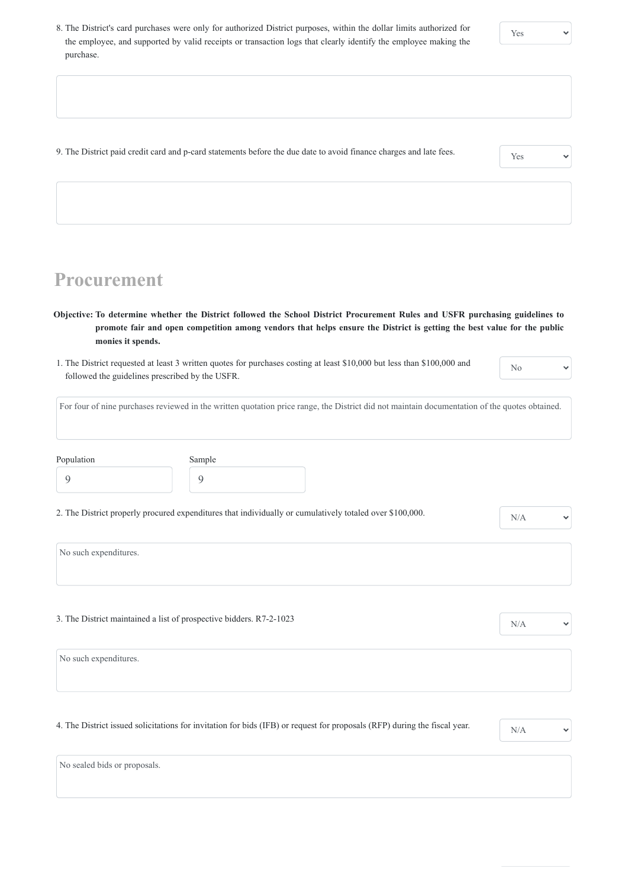8. The District's card purchases were only for authorized District purposes, within the dollar limits authorized for the employee, and supported by valid receipts or transaction logs that clearly identify the employee making the purchase.

| 9. The District paid credit card and p-card statements before the due date to avoid finance charges and late fees. | Yes |
|--------------------------------------------------------------------------------------------------------------------|-----|
|--------------------------------------------------------------------------------------------------------------------|-----|

# **Procurement**

**Objective: To determine whether the District followed the School District Procurement Rules and USFR purchasing guidelines to promote fair and open competition among vendors that helps ensure the District is getting the best value for the public monies it spends.**

| 1. The District requested at least 3 written quotes for purchases costing at least \$10,000 but less than \$100,000 and |  |
|-------------------------------------------------------------------------------------------------------------------------|--|
| followed the guidelines prescribed by the USFR.                                                                         |  |

No

 $\checkmark$ 

For four of nine purchases reviewed in the written quotation price range, the District did not maintain documentation of the quotes obtained.

| Population | Sample |
|------------|--------|
|            |        |

2. The District properly procured expenditures that individually or cumulatively totaled over \$100,000.  $N/A$ 

 $\checkmark$ 

 $\checkmark$ 

No such expenditures.

3. The District maintained a list of prospective bidders.  $R7-2-1023$  N/A

4. The District issued solicitations for invitation for bids (IFB) or request for proposals (RFP) during the fiscal year.  $N/A$ 



No sealed bids or proposals.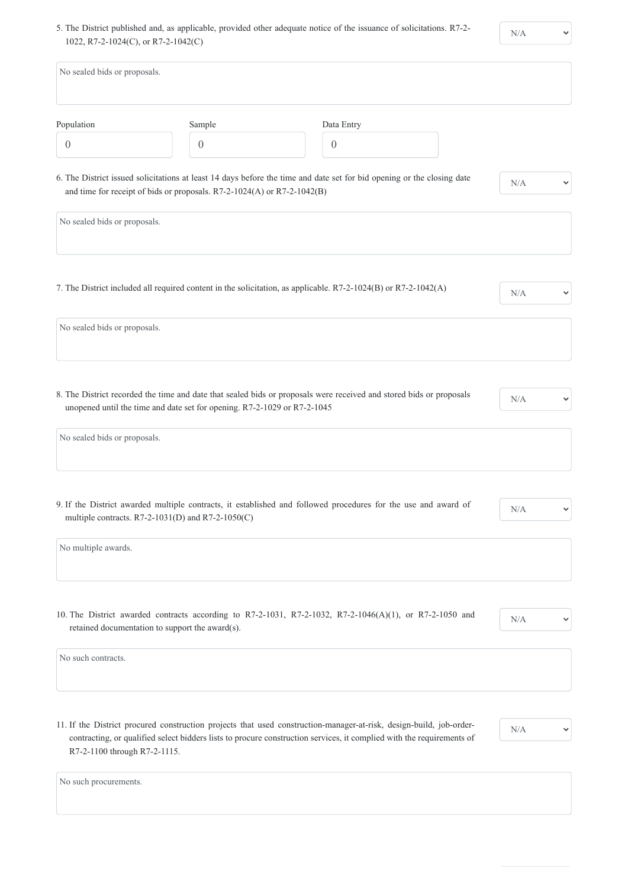5. The District published and, as applicable, provided other adequate notice of the issuance of solicitations. R7-2- 1022, R7-2-1024(C), or R7-2-1042(C)

 $\checkmark$ 

| No sealed bids or proposals. |                                                                                                         |                                                                                                                        |                     |
|------------------------------|---------------------------------------------------------------------------------------------------------|------------------------------------------------------------------------------------------------------------------------|---------------------|
| Population                   | Sample                                                                                                  | Data Entry                                                                                                             |                     |
| $\boldsymbol{0}$             | $\overline{0}$                                                                                          | $\theta$                                                                                                               |                     |
|                              | and time for receipt of bids or proposals. R7-2-1024(A) or R7-2-1042(B)                                 | 6. The District issued solicitations at least 14 days before the time and date set for bid opening or the closing date | N/A                 |
| No sealed bids or proposals. |                                                                                                         |                                                                                                                        |                     |
| No sealed bids or proposals. |                                                                                                         | 7. The District included all required content in the solicitation, as applicable. R7-2-1024(B) or R7-2-1042(A)         | N/A                 |
|                              |                                                                                                         |                                                                                                                        |                     |
|                              | unopened until the time and date set for opening. R7-2-1029 or R7-2-1045                                | 8. The District recorded the time and date that sealed bids or proposals were received and stored bids or proposals    | N/A<br>$\checkmark$ |
| No sealed bids or proposals. |                                                                                                         |                                                                                                                        |                     |
|                              | multiple contracts. $R7-2-1031(D)$ and $R7-2-1050(C)$                                                   | 9. If the District awarded multiple contracts, it established and followed procedures for the use and award of         | N/A                 |
| No multiple awards.          |                                                                                                         |                                                                                                                        |                     |
|                              | 10. The District awarded contracts according to R7-2-1031, R7-2-1032, R7-2-1046(A)(1), or R7-2-1050 and |                                                                                                                        |                     |

No such contracts.

11. If the District procured construction projects that used construction-manager-at-risk, design-build, job-ordercontracting, or qualified select bidders lists to procure construction services, it complied with the requirements of R7-2-1100 through R7-2-1115.



No such procurements.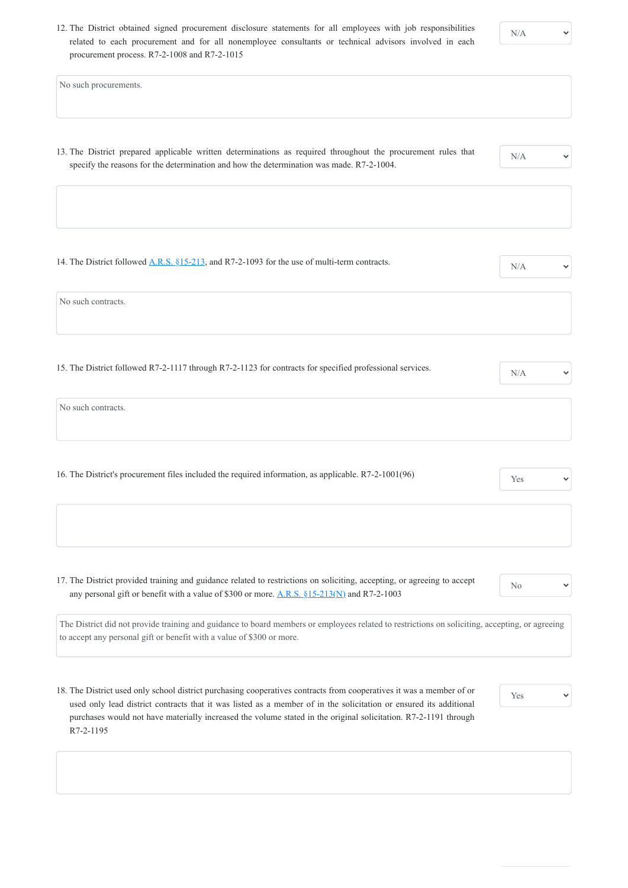12. The District obtained signed procurement disclosure statements for all employees with job responsibilities related to each procurement and for all nonemployee consultants or technical advisors involved in each procurement process. R7-2-1008 and R7-2-1015

- 13. The District prepared applicable written determinations as required throughout the procurement rules that specify the reasons for the determination and how the determination was made. R7-2-1004.
- 14. The District followed  $\underline{A.R.S. \S15-213}$ , and R7-2-1093 for the use of multi-term contracts.

No such procurements.

17. The District provided training and guidance related to restrictions on soliciting, accepting, or agreeing to accept any personal gift or benefit with a value of \$300 or more.  $\underline{A.R.S.}$  \$15-213(N) and R7-2-1003

N/A

No such contracts.

15. The District followed R7-2-1117 through R7-2-1123 for contracts for specified professional services.  $N/A$ 

| No such contracts. |  |  |
|--------------------|--|--|
|                    |  |  |
|                    |  |  |

| 16. The District's procurement files included the required information, as applicable. R7-2-1001(96) | <b>Yes</b> |  |
|------------------------------------------------------------------------------------------------------|------------|--|
|                                                                                                      |            |  |

No

The District did not provide training and guidance to board members or employees related to restrictions on soliciting, accepting, or agreeing to accept any personal gift or benefit with a value of \$300 or more.

18. The District used only school district purchasing cooperatives contracts from cooperatives it was a member of or used only lead district contracts that it was listed as a member of in the solicitation or ensured its additional purchases would not have materially increased the volume stated in the original solicitation. R7-2-1191 through R7-2-1195

Yes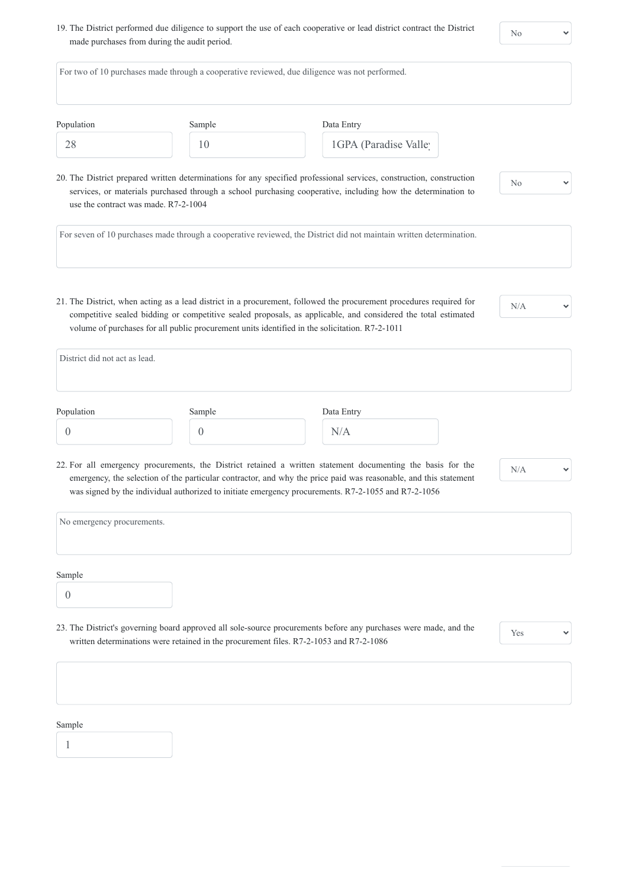19. The District performed due diligence to support the use of each cooperative or lead district contract the District made purchases from during the audit period.

 $\checkmark$ 

| Population                           | Sample         | Data Entry                                                                                                                                                                                                                                                                                                                             |                |
|--------------------------------------|----------------|----------------------------------------------------------------------------------------------------------------------------------------------------------------------------------------------------------------------------------------------------------------------------------------------------------------------------------------|----------------|
| 28                                   | 10             | 1GPA (Paradise Valle)                                                                                                                                                                                                                                                                                                                  |                |
| use the contract was made. R7-2-1004 |                | 20. The District prepared written determinations for any specified professional services, construction, construction<br>services, or materials purchased through a school purchasing cooperative, including how the determination to                                                                                                   | N <sub>o</sub> |
|                                      |                | For seven of 10 purchases made through a cooperative reviewed, the District did not maintain written determination.                                                                                                                                                                                                                    |                |
|                                      |                |                                                                                                                                                                                                                                                                                                                                        |                |
| District did not act as lead.        |                | 21. The District, when acting as a lead district in a procurement, followed the procurement procedures required for<br>competitive sealed bidding or competitive sealed proposals, as applicable, and considered the total estimated<br>volume of purchases for all public procurement units identified in the solicitation. R7-2-1011 |                |
| Population                           | Sample         | Data Entry                                                                                                                                                                                                                                                                                                                             | N/A            |
| $\boldsymbol{0}$                     | $\overline{0}$ | N/A                                                                                                                                                                                                                                                                                                                                    |                |
|                                      |                | 22. For all emergency procurements, the District retained a written statement documenting the basis for the<br>emergency, the selection of the particular contractor, and why the price paid was reasonable, and this statement                                                                                                        | N/A            |
|                                      |                | was signed by the individual authorized to initiate emergency procurements. R7-2-1055 and R7-2-1056                                                                                                                                                                                                                                    |                |

23. The District's governing board approved all sole-source procurements before any purchases were made, and the written determinations were retained in the procurement files. R7-2-1053 and R7-2-1086

 $\checkmark$ 

#### Sample

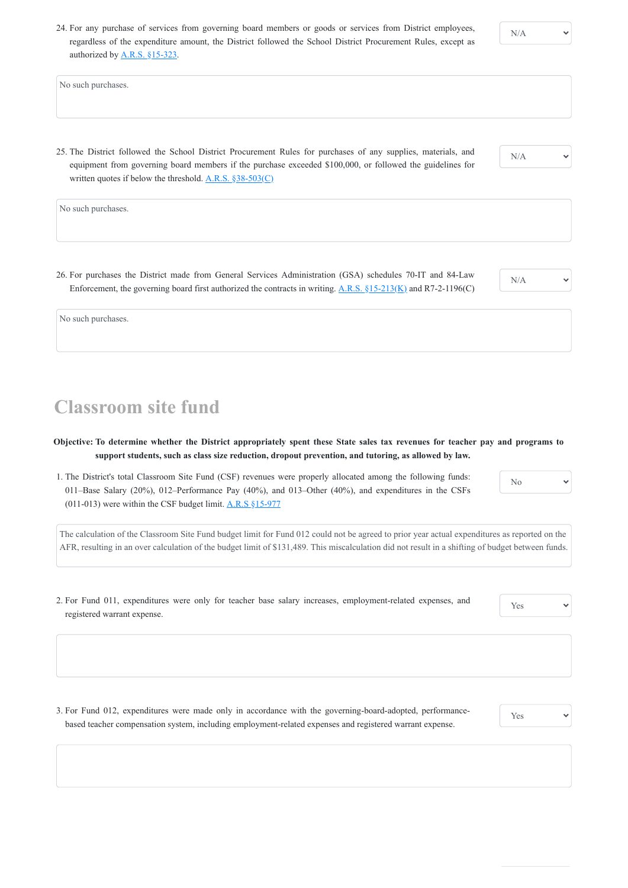24. For any purchase of services from governing board members or goods or services from District employees, regardless of the expenditure amount, the District followed the School District Procurement Rules, except as authorized by [A.R.S. §15-323.](https://www.azleg.gov/viewdocument/?docName=https://www.azleg.gov/ars/15/00323.htm)

25. The District followed the School District Procurement Rules for purchases of any supplies, materials, and equipment from governing board members if the purchase exceeded \$100,000, or followed the guidelines for written quotes if below the threshold.  $\underline{A.R.S.}$  §38-503(C)

No such purchases.

26. For purchases the District made from General Services Administration (GSA) schedules 70-IT and 84-Law Enforcement, the governing board first authorized the contracts in writing.  $\underline{A.R.S. \S15-213(K)}$  and R7-2-1196(C)

1. The District's total Classroom Site Fund (CSF) revenues were properly allocated among the following funds: 011–Base Salary (20%), 012–Performance Pay (40%), and 013–Other (40%), and expenditures in the CSFs (011-013) were within the CSF budget limit.  $\underline{A.R.S}$  §15-977

N/A

No such purchases.

No  $\checkmark$ 

N/A

No such purchases.

## **Classroom site fund**

**Objective: To determine whether the District appropriately spent these State sales tax revenues for teacher pay and programs to support students, such as class size reduction, dropout prevention, and tutoring, as allowed by law.**

The calculation of the Classroom Site Fund budget limit for Fund 012 could not be agreed to prior year actual expenditures as reported on the AFR, resulting in an over calculation of the budget limit of \$131,489. This miscalculation did not result in a shifting of budget between funds.

2. For Fund 011, expenditures were only for teacher base salary increases, employment-related expenses, and registered warrant expense.

Yes

3. For Fund 012, expenditures were made only in accordance with the governing-board-adopted, performancebased teacher compensation system, including employment-related expenses and registered warrant expense.

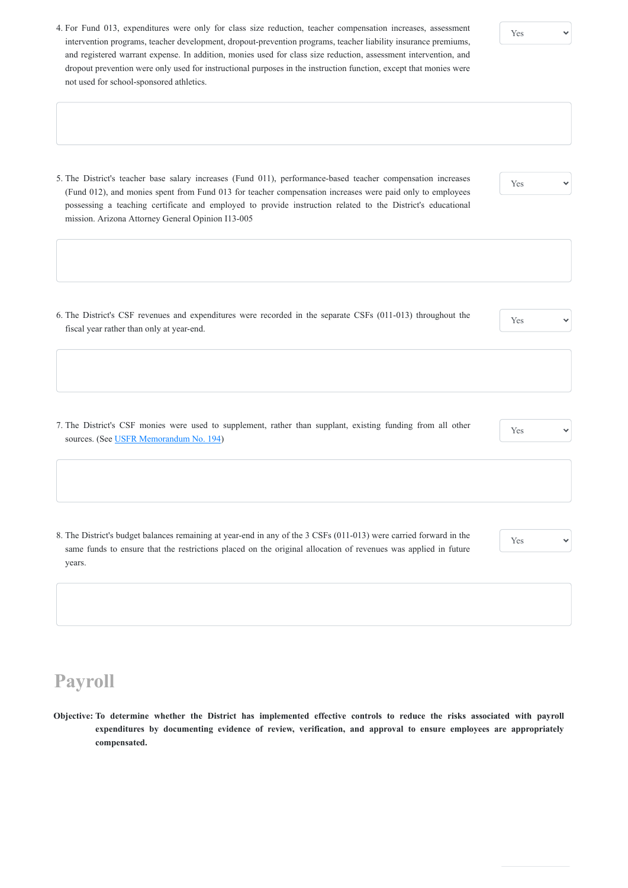- 4. For Fund 013, expenditures were only for class size reduction, teacher compensation increases, assessment intervention programs, teacher development, dropout-prevention programs, teacher liability insurance premiums, and registered warrant expense. In addition, monies used for class size reduction, assessment intervention, and dropout prevention were only used for instructional purposes in the instruction function, except that monies were not used for school-sponsored athletics.
- 5. The District's teacher base salary increases (Fund 011), performance-based teacher compensation increases (Fund 012), and monies spent from Fund 013 for teacher compensation increases were paid only to employees possessing a teaching certificate and employed to provide instruction related to the District's educational mission. Arizona Attorney General Opinion I13-005

#### Yes

7. The District's CSF monies were used to supplement, rather than supplant, existing funding from all other sources. (See [USFR Memorandum No. 194\)](https://www.azauditor.gov/sites/default/files/USFR_Memo_194_0.pdf)

Yes

6. The District's CSF revenues and expenditures were recorded in the separate CSFs (011-013) throughout the fiscal year rather than only at year-end.

Yes

Yes

8. The District's budget balances remaining at year-end in any of the 3 CSFs (011-013) were carried forward in the same funds to ensure that the restrictions placed on the original allocation of revenues was applied in future years.

Yes



**Objective: To determine whether the District has implemented effective controls to reduce the risks associated with payroll expenditures by documenting evidence of review, verification, and approval to ensure employees are appropriately compensated.**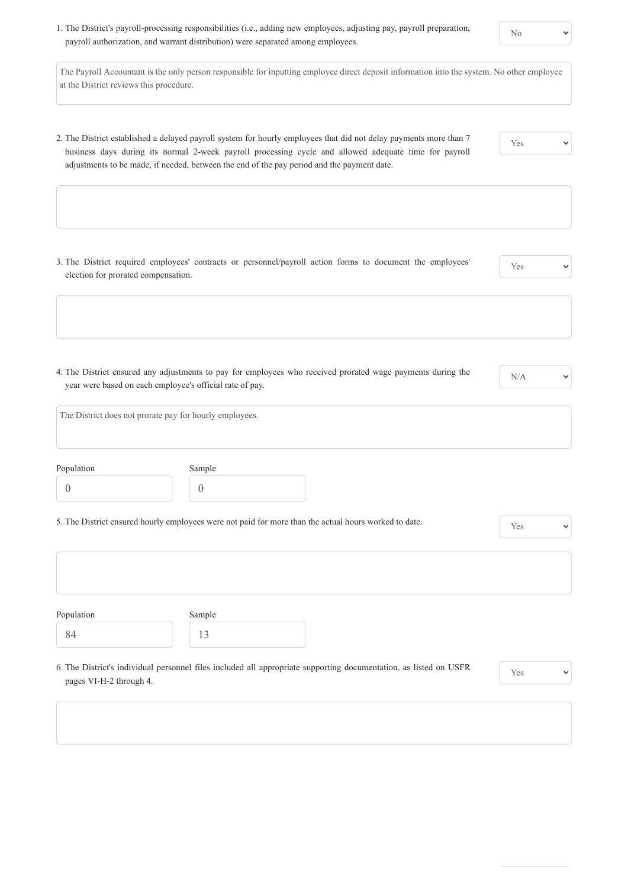1. The District's payroll-processing responsibilities (i.e., adding new employees, adjusting pay, payroll preparation, payroll authorization, and warrant distribution) were separated among employees.

The Payroll Accountant is the only person responsible for inputting employee direct deposit information into the system. No other employee at the District reviews this procedure.

2. The District established a delayed payroll system for hourly employees that did not delay payments more than 7 business days during its normal 2-week payroll processing cycle and allowed adequate time for payroll adjustments to be made, if needed, between the end of the pay period and the payment date.

3. The District required employees' contracts or personnel/payroll action forms to document the employees' election for prorated compensation.

Yes

4. The District ensured any adjustments to pay for employees who received prorated wage payments during the year were based on each employee's official rate of pay.

N/A

 $\checkmark$ 

 $\checkmark$ 

|            | The District does not prorate pay for hourly employees. |  |
|------------|---------------------------------------------------------|--|
|            |                                                         |  |
|            |                                                         |  |
| Population | Sample                                                  |  |
|            |                                                         |  |

5. The District ensured hourly employees were not paid for more than the actual hours worked to date. Yes

Population 84 Sample 13

6. The District's individual personnel files included all appropriate supporting documentation, as listed on USFR

pages VI-H-2 through 4.

| V<br>Yes |  |
|----------|--|
|          |  |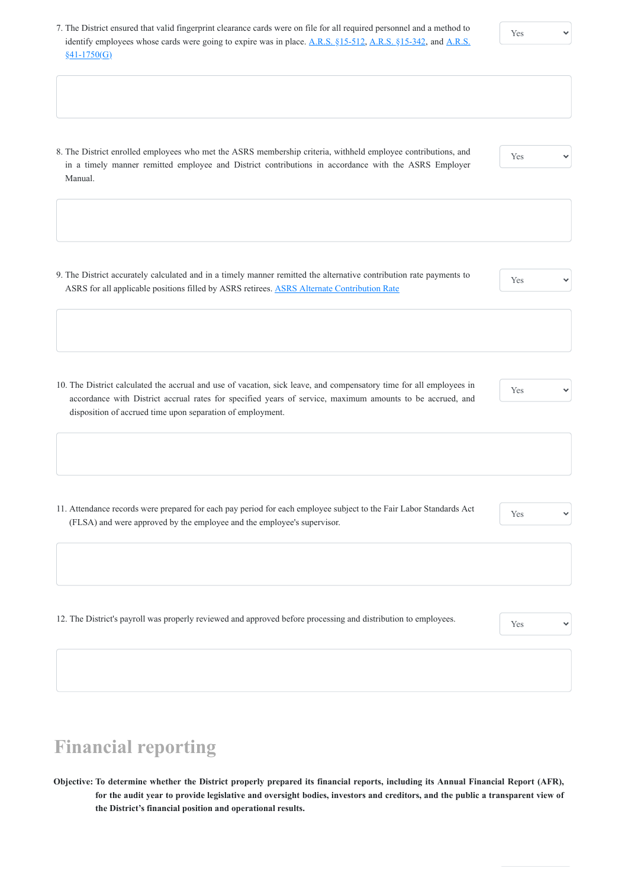9. The District accurately calculated and in a timely manner remitted the alternative contribution rate payments to ASRS for all applicable positions filled by ASRS retirees. [ASRS Alternate Contribution Rate](https://www.azasrs.gov/content/alternate-contribution-rate)

7. The District ensured that valid fingerprint clearance cards were on file for all required personnel and a method to [identify employees whose cards were going to expire was in place. A.R.S. §15-512,](https://www.azleg.gov/viewdocument/?docName=https://www.azleg.gov/ars/41/01750.htm) [A.R.S. §15-342,](https://www.azleg.gov/viewdocument/?docName=https://www.azleg.gov/ars/15/00342.htm) and A.R.S.  $§41-1750(G)$ 

8. The District enrolled employees who met the ASRS membership criteria, withheld employee contributions, and in a timely manner remitted employee and District contributions in accordance with the ASRS Employer Manual.

Yes

Yes

10. The District calculated the accrual and use of vacation, sick leave, and compensatory time for all employees in accordance with District accrual rates for specified years of service, maximum amounts to be accrued, and disposition of accrued time upon separation of employment.

Yes

11. Attendance records were prepared for each pay period for each employee subject to the Fair Labor Standards Act (FLSA) and were approved by the employee and the employee's supervisor.

Yes

12. The District's payroll was properly reviewed and approved before processing and distribution to employees.

### **Financial reporting**

**Objective: To determine whether the District properly prepared its financial reports, including its Annual Financial Report (AFR), for the audit year to provide legislative and oversight bodies, investors and creditors, and the public a transparent view of the District's financial position and operational results.**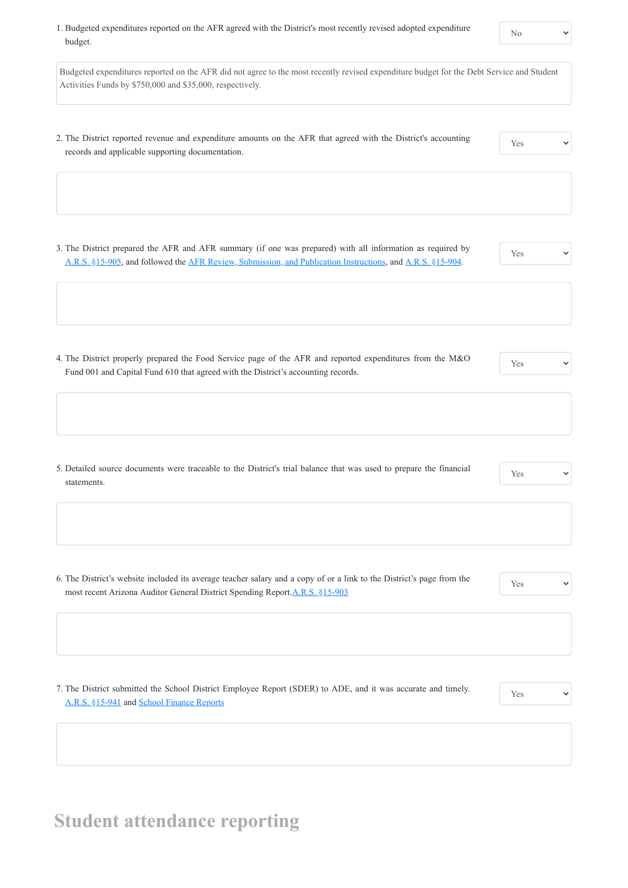1. Budgeted expenditures reported on the AFR agreed with the District's most recently revised adopted expenditure budget.

Budgeted expenditures reported on the AFR did not agree to the most recently revised expenditure budget for the Debt Service and Student Activities Funds by \$750,000 and \$35,000, respectively.

- 2. The District reported revenue and expenditure amounts on the AFR that agreed with the District's accounting records and applicable supporting documentation.
- Yes

6. The District's website included its average teacher salary and a copy of or a link to the District's page from the most recent Arizona Auditor General District Spending Report. A.R.S. §15-903

3. The District prepared the AFR and AFR summary (if one was prepared) with all information as required by [A.R.S. §15-905,](https://www.azleg.gov/viewdocument/?docName=https%3A%2F%2Fwww.azleg.gov%2Fars%2F15%2F00905.htm) and followed the [AFR Review, Submission, and Publication Instructions,](https://www.azauditor.gov/reports-publications/school-districts/forms) and [A.R.S. §15-904.](https://www.azleg.gov/viewdocument/?docName=https://www.azleg.gov/ars/15/00904.htm)

Yes

- 4. The District properly prepared the Food Service page of the AFR and reported expenditures from the M&O Fund 001 and Capital Fund 610 that agreed with the District's accounting records.
- Yes

5. Detailed source documents were traceable to the District's trial balance that was used to prepare the financial statements.

Yes

Yes

7. The District submitted the School District Employee Report (SDER) to ADE, and it was accurate and timely.

Yes

 $\checkmark$ 

[A.R.S. §15-941](https://www.azleg.gov/viewdocument/?docName=https://www.azleg.gov/ars/15/00941.htm) and [School Finance Reports](https://www.azed.gov/finance/reports)

# **Student attendance reporting**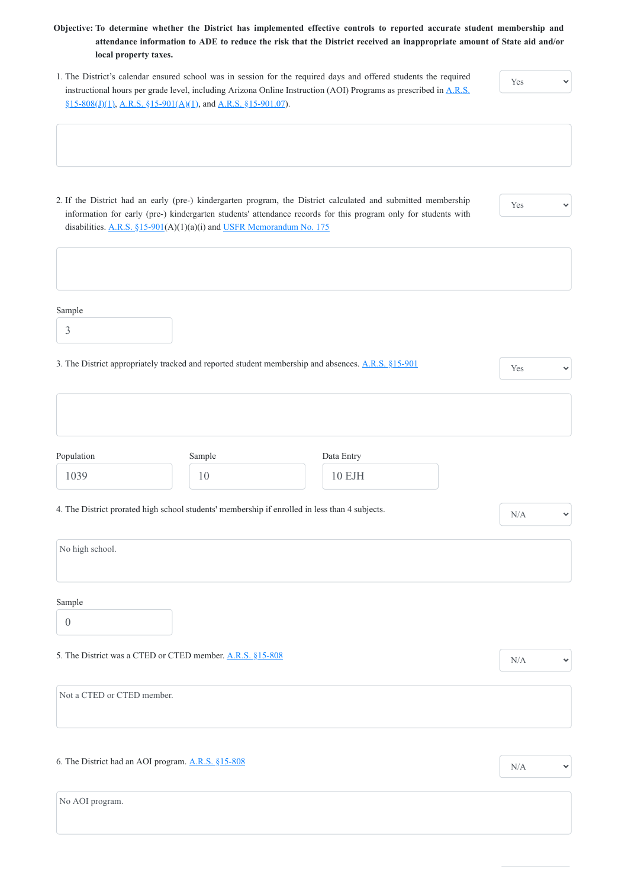2. If the District had an early (pre-) kindergarten program, the District calculated and submitted membership information for early (pre-) kindergarten students' attendance records for this program only for students with disabilities. [A.R.S. §15-901\(](https://www.azleg.gov/viewdocument/?docName=https%3A%2F%2Fwww.azleg.gov%2Fars%2F15%2F00901.htm)A)(1)(a)(i) and [USFR Memorandum No. 175](https://www.azauditor.gov/sites/default/files/USFR%20Memo%20175.pdf)

- **Objective: To determine whether the District has implemented effective controls to reported accurate student membership and attendance information to ADE to reduce the risk that the District received an inappropriate amount of State aid and/or local property taxes.**
- 1. The District's calendar ensured school was in session for the required days and offered students the required [instructional hours per grade level, including Arizona Online Instruction \(AOI\) Programs as prescribed in A.R.S.](https://www.azleg.gov/viewdocument/?docName=https://www.azleg.gov/ars/15/00808.htm) §15-808(J)(1), [A.R.S. §15-901\(A\)\(1\)](https://www.azleg.gov/viewdocument/?docName=https%3A%2F%2Fwww.azleg.gov%2Fars%2F15%2F00901.htm), and [A.R.S. §15-901.07](https://www.azleg.gov/viewdocument/?docName=https://www.azleg.gov/ars/15/00901-07.htm)).

Yes

 $\checkmark$ 

 $\checkmark$ 

Yes

Sample

3

Population

1039

| 3. The District appropriately tracked and reported student membership and absences. A.R.S. §15-901 | Yes |
|----------------------------------------------------------------------------------------------------|-----|
|----------------------------------------------------------------------------------------------------|-----|

 $\checkmark$ 

 $\checkmark$ 

4. The District prorated high school students' membership if enrolled in less than 4 subjects.  $N/A$ 

Sample

10

Data Entry

10 EJH

No high school.

Sample

0

 $\checkmark$ 

Not a CTED or CTED member.

6. The District had an AOI program.  $\underline{A.R.S. \S15-808}$  N/A

No AOI program.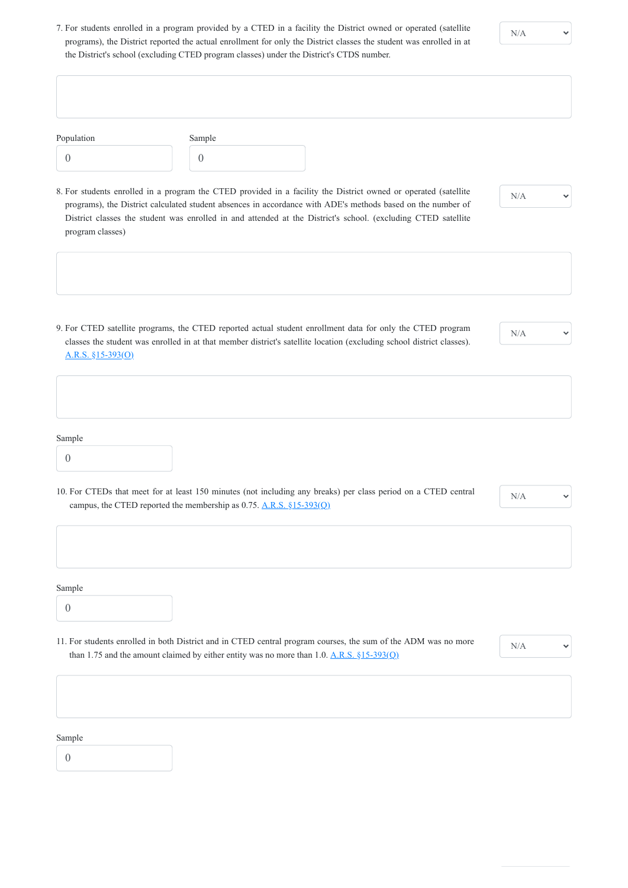7. For students enrolled in a program provided by a CTED in a facility the District owned or operated (satellite programs), the District reported the actual enrollment for only the District classes the student was enrolled in at the District's school (excluding CTED program classes) under the District's CTDS number.

N/A

10. For CTEDs that meet for at least 150 minutes (not including any breaks) per class period on a CTED central campus, the CTED reported the membership as 0.75.  $\underline{A.R.S.} \S 15-393(Q)$ 

| Population       | Sample           |                                                                                                                                                                                                                                       |  |
|------------------|------------------|---------------------------------------------------------------------------------------------------------------------------------------------------------------------------------------------------------------------------------------|--|
| $\overline{0}$   | $\left( \right)$ |                                                                                                                                                                                                                                       |  |
|                  |                  | 8. For students enrolled in a program the CTED provided in a facility the District owned or operated (satellite<br>N/A<br>programs), the District calculated student absences in accordance with ADE's methods based on the number of |  |
| program classes) |                  | District classes the student was enrolled in and attended at the District's school. (excluding CTED satellite                                                                                                                         |  |

11. For students enrolled in both District and in CTED central program courses, the sum of the ADM was no more than 1.75 and the amount claimed by either entity was no more than 1.0.  $A.R.S. \S15-393(Q)$ 

9. For CTED satellite programs, the CTED reported actual student enrollment data for only the CTED program classes the student was enrolled in at that member district's satellite location (excluding school district classes). [A.R.S. §15-393\(O\)](https://www.azleg.gov/viewdocument/?docName=https://www.azleg.gov/ars/15/00393.htm)

N/A

Sample

Sample

0

 $\checkmark$ 

#### Sample

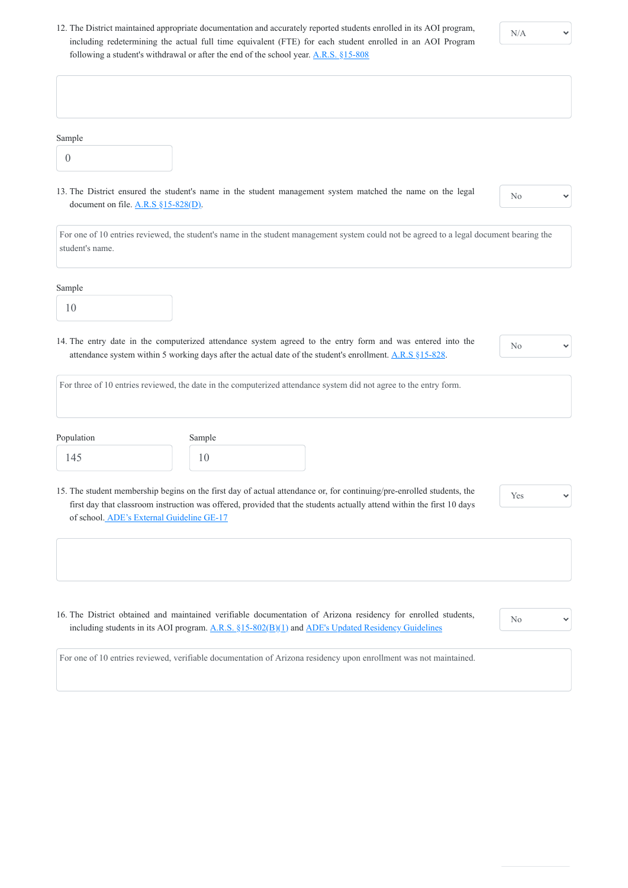12. The District maintained appropriate documentation and accurately reported students enrolled in its AOI program, including redetermining the actual full time equivalent (FTE) for each student enrolled in an AOI Program following a student's withdrawal or after the end of the school year. A.R.S.  $815-808$ 

 $\checkmark$ 

16. The District obtained and maintained verifiable documentation of Arizona residency for enrolled students, including students in its AOI program. [A.R.S. §15-802\(B\)\(1\)](https://www.azleg.gov/viewdocument/?docName=https://www.azleg.gov/ars/15/00802.htm) and [ADE's Updated Residency Guidelines](https://www.azed.gov/policy/updated-residency-guidelines)

| Sample<br>$\overline{0}$                                          |                                                                                                                                                                                                                         |                |  |
|-------------------------------------------------------------------|-------------------------------------------------------------------------------------------------------------------------------------------------------------------------------------------------------------------------|----------------|--|
| document on file. $\underline{A.R.S}$ §15-828( $\underline{D}$ ). | 13. The District ensured the student's name in the student management system matched the name on the legal                                                                                                              | N <sub>o</sub> |  |
| student's name.                                                   | For one of 10 entries reviewed, the student's name in the student management system could not be agreed to a legal document bearing the                                                                                 |                |  |
|                                                                   |                                                                                                                                                                                                                         |                |  |
|                                                                   |                                                                                                                                                                                                                         |                |  |
| 10                                                                |                                                                                                                                                                                                                         |                |  |
|                                                                   | 14. The entry date in the computerized attendance system agreed to the entry form and was entered into the<br>attendance system within 5 working days after the actual date of the student's enrollment. A.R.S §15-828. | N <sub>o</sub> |  |
|                                                                   | For three of 10 entries reviewed, the date in the computerized attendance system did not agree to the entry form.                                                                                                       |                |  |
|                                                                   | Sample                                                                                                                                                                                                                  |                |  |
| Sample<br>Population<br>145                                       | 10                                                                                                                                                                                                                      |                |  |

No

 $\checkmark$ 

For one of 10 entries reviewed, verifiable documentation of Arizona residency upon enrollment was not maintained.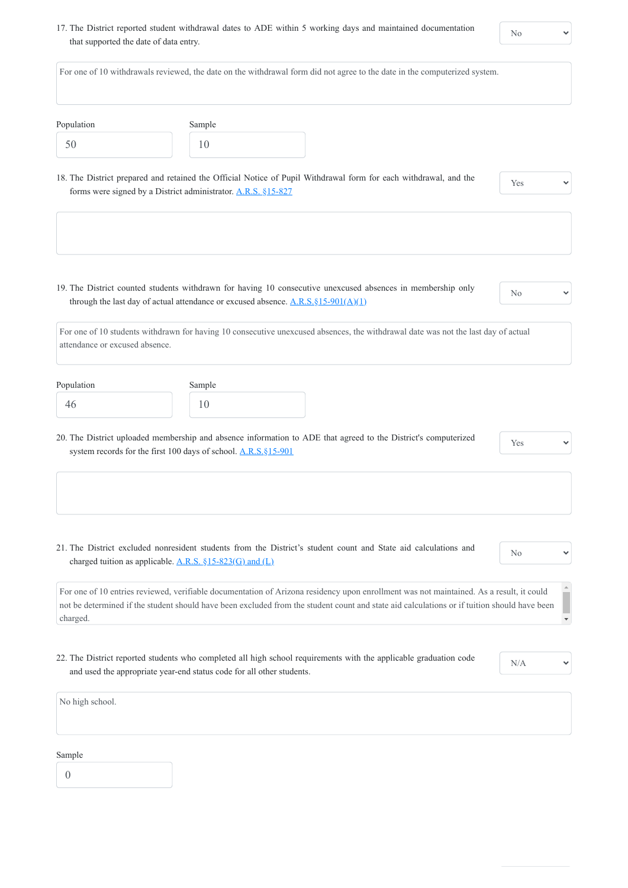17. The District reported student withdrawal dates to ADE within 5 working days and maintained documentation that supported the date of data entry.

No

 $\checkmark$ 

|                                |                                                                         | For one of 10 withdrawals reviewed, the date on the withdrawal form did not agree to the date in the computerized system.                                                                                                                                                                                                                            |                |
|--------------------------------|-------------------------------------------------------------------------|------------------------------------------------------------------------------------------------------------------------------------------------------------------------------------------------------------------------------------------------------------------------------------------------------------------------------------------------------|----------------|
| Population                     | Sample                                                                  |                                                                                                                                                                                                                                                                                                                                                      |                |
| 50                             | 10                                                                      |                                                                                                                                                                                                                                                                                                                                                      |                |
|                                | forms were signed by a District administrator. A.R.S. §15-827           | 18. The District prepared and retained the Official Notice of Pupil Withdrawal form for each withdrawal, and the                                                                                                                                                                                                                                     | Yes            |
|                                |                                                                         | 19. The District counted students withdrawn for having 10 consecutive unexcused absences in membership only<br>through the last day of actual attendance or excused absence. $\underline{A.R.S.\S15-901(A)(1)}$<br>For one of 10 students withdrawn for having 10 consecutive unexcused absences, the withdrawal date was not the last day of actual | N <sub>o</sub> |
| attendance or excused absence. |                                                                         |                                                                                                                                                                                                                                                                                                                                                      |                |
| Population                     | Sample<br>10                                                            |                                                                                                                                                                                                                                                                                                                                                      |                |
| 46                             |                                                                         |                                                                                                                                                                                                                                                                                                                                                      |                |
|                                | system records for the first 100 days of school. A.R.S. §15-901         | 20. The District uploaded membership and absence information to ADE that agreed to the District's computerized                                                                                                                                                                                                                                       | Yes            |
|                                |                                                                         |                                                                                                                                                                                                                                                                                                                                                      |                |
|                                | charged tuition as applicable. $\underline{A.R.S. \S15-823(G)}$ and (L) | 21. The District excluded nonresident students from the District's student count and State aid calculations and                                                                                                                                                                                                                                      | N <sub>o</sub> |

22. The District reported students who completed all high school requirements with the applicable graduation code

 $\checkmark$ 

#### and used the appropriate year-end status code for all other students.

N/A

No high school.

#### Sample

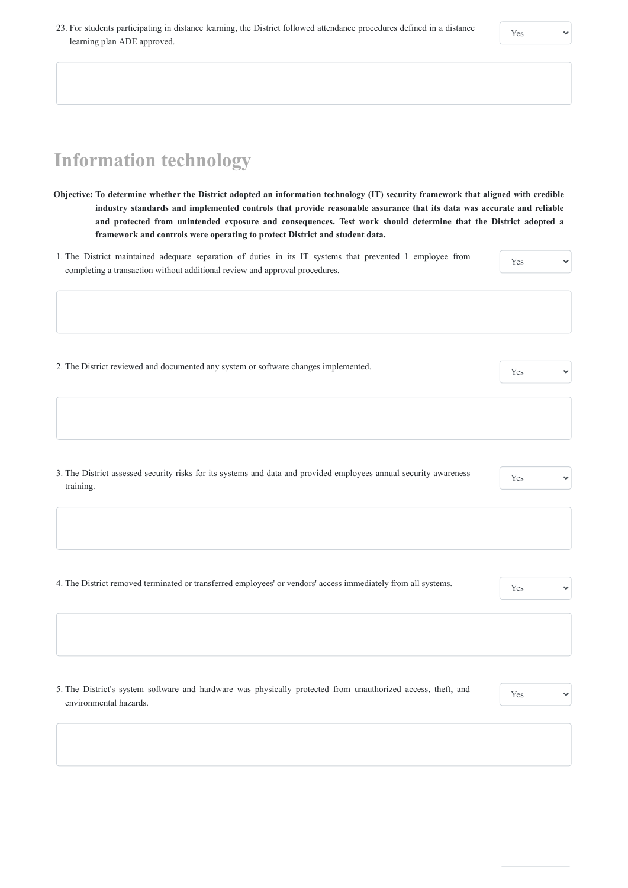# **Information technology**

- **Objective: To determine whether the District adopted an information technology (IT) security framework that aligned with credible industry standards and implemented controls that provide reasonable assurance that its data was accurate and reliable and protected from unintended exposure and consequences. Test work should determine that the District adopted a framework and controls were operating to protect District and student data.**
- 1. The District maintained adequate separation of duties in its IT systems that prevented 1 employee from completing a transaction without additional review and approval procedures. Yes

2. The District reviewed and documented any system or software changes implemented.

3. The District assessed security risks for its systems and data and provided employees annual security awareness training.

Yes

4. The District removed terminated or transferred employees' or vendors' access immediately from all systems.

5. The District's system software and hardware was physically protected from unauthorized access, theft, and environmental hazards.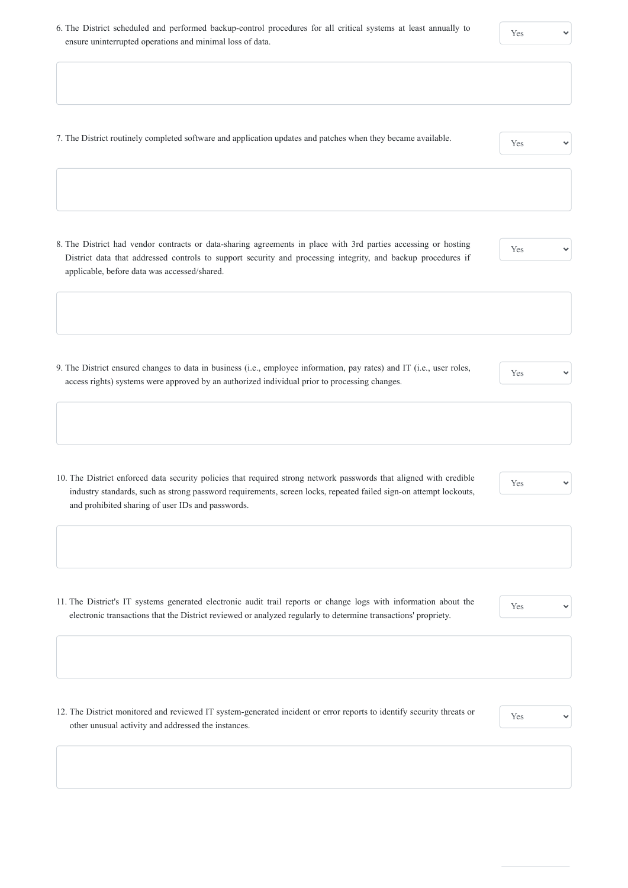6. The District scheduled and performed backup-control procedures for all critical systems at least annually to ensure uninterrupted operations and minimal loss of data.

| 7. The District routinely completed software and application updates and patches when they became available. | Yes |
|--------------------------------------------------------------------------------------------------------------|-----|

8. The District had vendor contracts or data-sharing agreements in place with 3rd parties accessing or hosting District data that addressed controls to support security and processing integrity, and backup procedures if applicable, before data was accessed/shared.

#### Yes

9. The District ensured changes to data in business (i.e., employee information, pay rates) and IT (i.e., user roles, access rights) systems were approved by an authorized individual prior to processing changes.

#### Yes

10. The District enforced data security policies that required strong network passwords that aligned with credible industry standards, such as strong password requirements, screen locks, repeated failed sign-on attempt lockouts, and prohibited sharing of user IDs and passwords.

#### Yes

 $\checkmark$ 

11. The District's IT systems generated electronic audit trail reports or change logs with information about the electronic transactions that the District reviewed or analyzed regularly to determine transactions' propriety.

Yes

12. The District monitored and reviewed IT system-generated incident or error reports to identify security threats or other unusual activity and addressed the instances.

| Yes | $\checkmark$ |
|-----|--------------|
|-----|--------------|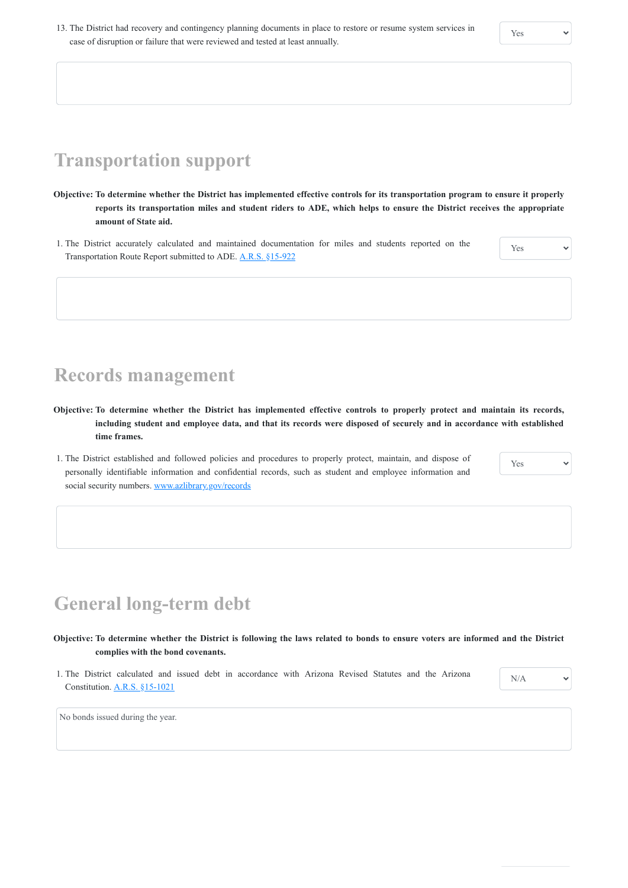- **Objective: To determine whether the District has implemented effective controls for its transportation program to ensure it properly reports its transportation miles and student riders to ADE, which helps to ensure the District receives the appropriate amount of State aid.**
- 1. The District accurately calculated and maintained documentation for miles and students reported on the Transportation Route Report submitted to ADE. [A.R.S. §15-922](https://www.azleg.gov/viewdocument/?docName=https://www.azleg.gov/ars/15/00922.htm)

## **Transportation support**

- **Objective: To determine whether the District has implemented effective controls to properly protect and maintain its records, including student and employee data, and that its records were disposed of securely and in accordance with established time frames.**
- 1. The District established and followed policies and procedures to properly protect, maintain, and dispose of personally identifiable information and confidential records, such as student and employee information and social security numbers. [www.azlibrary.gov/records](https://apps.azlibrary.gov/records/general.aspx)

Yes

### **Records management**

Yes

# **General long-term debt**

**Objective: To determine whether the District is following the laws related to bonds to ensure voters are informed and the District complies with the bond covenants.**

1. The District calculated and issued debt in accordance with Arizona Revised Statutes and the Arizona Constitution. [A.R.S. §15-1021](https://www.azleg.gov/viewdocument/?docName=https://www.azleg.gov/ars/15/01021.htm)

| N/A | $\checkmark$ |
|-----|--------------|
|     |              |

No bonds issued during the year.